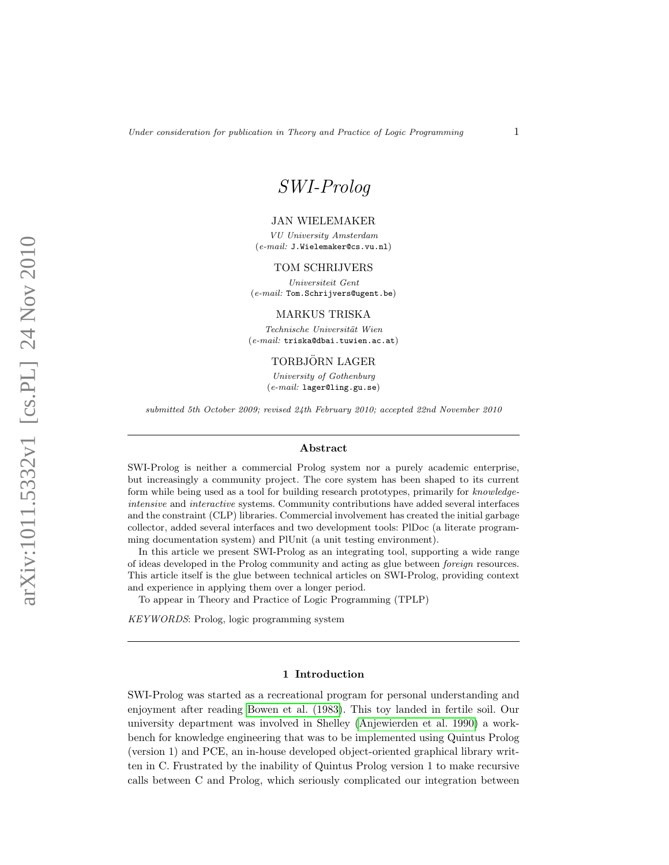### JAN WIELEMAKER

VU University Amsterdam (e-mail: J.Wielemaker@cs.vu.nl)

#### TOM SCHRIJVERS

Universiteit Gent (e-mail: Tom.Schrijvers@ugent.be)

#### MARKUS TRISKA

Technische Universität Wien (e-mail: triska@dbai.tuwien.ac.at)

# TORBJÖRN LAGER

University of Gothenburg (e-mail: lager@ling.gu.se)

submitted 5th October 2009; revised 24th February 2010; accepted 22nd November 2010

#### Abstract

SWI-Prolog is neither a commercial Prolog system nor a purely academic enterprise, but increasingly a community project. The core system has been shaped to its current form while being used as a tool for building research prototypes, primarily for knowledgeintensive and interactive systems. Community contributions have added several interfaces and the constraint (CLP) libraries. Commercial involvement has created the initial garbage collector, added several interfaces and two development tools: PlDoc (a literate programming documentation system) and PlUnit (a unit testing environment).

In this article we present SWI-Prolog as an integrating tool, supporting a wide range of ideas developed in the Prolog community and acting as glue between foreign resources. This article itself is the glue between technical articles on SWI-Prolog, providing context and experience in applying them over a longer period.

To appear in Theory and Practice of Logic Programming (TPLP)

KEYWORDS: Prolog, logic programming system

#### 1 Introduction

<span id="page-0-0"></span>SWI-Prolog was started as a recreational program for personal understanding and enjoyment after reading [Bowen et al. \(1983\)](#page-28-0). This toy landed in fertile soil. Our university department was involved in Shelley [\(Anjewierden et al. 1990\)](#page-27-0) a workbench for knowledge engineering that was to be implemented using Quintus Prolog (version 1) and PCE, an in-house developed object-oriented graphical library written in C. Frustrated by the inability of Quintus Prolog version 1 to make recursive calls between C and Prolog, which seriously complicated our integration between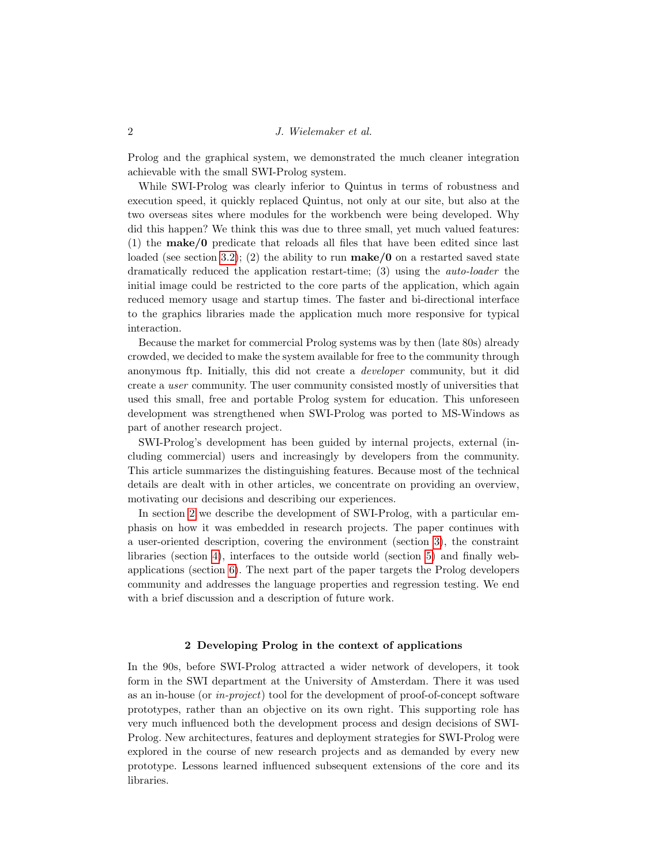Prolog and the graphical system, we demonstrated the much cleaner integration achievable with the small SWI-Prolog system.

While SWI-Prolog was clearly inferior to Quintus in terms of robustness and execution speed, it quickly replaced Quintus, not only at our site, but also at the two overseas sites where modules for the workbench were being developed. Why did this happen? We think this was due to three small, yet much valued features: (1) the make/0 predicate that reloads all files that have been edited since last loaded (see section [3.2\)](#page-5-0); (2) the ability to run  $\text{make}/0$  on a restarted saved state dramatically reduced the application restart-time; (3) using the auto-loader the initial image could be restricted to the core parts of the application, which again reduced memory usage and startup times. The faster and bi-directional interface to the graphics libraries made the application much more responsive for typical interaction.

Because the market for commercial Prolog systems was by then (late 80s) already crowded, we decided to make the system available for free to the community through anonymous ftp. Initially, this did not create a developer community, but it did create a user community. The user community consisted mostly of universities that used this small, free and portable Prolog system for education. This unforeseen development was strengthened when SWI-Prolog was ported to MS-Windows as part of another research project.

SWI-Prolog's development has been guided by internal projects, external (including commercial) users and increasingly by developers from the community. This article summarizes the distinguishing features. Because most of the technical details are dealt with in other articles, we concentrate on providing an overview, motivating our decisions and describing our experiences.

In section [2](#page-1-0) we describe the development of SWI-Prolog, with a particular emphasis on how it was embedded in research projects. The paper continues with a user-oriented description, covering the environment (section [3\)](#page-3-0), the constraint libraries (section [4\)](#page-10-0), interfaces to the outside world (section [5\)](#page-12-0) and finally webapplications (section [6\)](#page-14-0). The next part of the paper targets the Prolog developers community and addresses the language properties and regression testing. We end with a brief discussion and a description of future work.

# 2 Developing Prolog in the context of applications

<span id="page-1-0"></span>In the 90s, before SWI-Prolog attracted a wider network of developers, it took form in the SWI department at the University of Amsterdam. There it was used as an in-house (or in-project) tool for the development of proof-of-concept software prototypes, rather than an objective on its own right. This supporting role has very much influenced both the development process and design decisions of SWI-Prolog. New architectures, features and deployment strategies for SWI-Prolog were explored in the course of new research projects and as demanded by every new prototype. Lessons learned influenced subsequent extensions of the core and its libraries.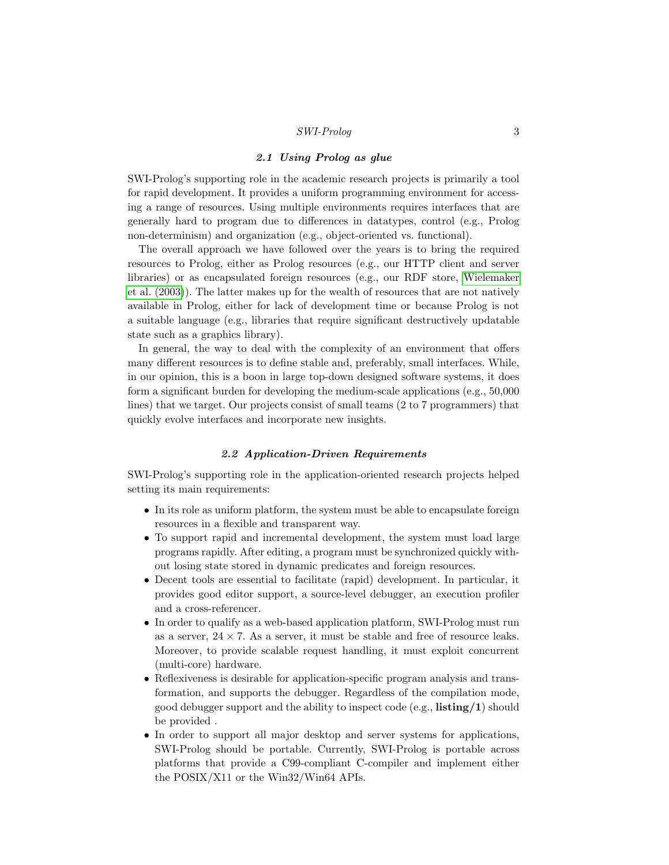#### 2.1 Using Prolog as glue

<span id="page-2-0"></span>SWI-Prolog's supporting role in the academic research projects is primarily a tool for rapid development. It provides a uniform programming environment for accessing a range of resources. Using multiple environments requires interfaces that are generally hard to program due to differences in datatypes, control (e.g., Prolog non-determinism) and organization (e.g., object-oriented vs. functional).

The overall approach we have followed over the years is to bring the required resources to Prolog, either as Prolog resources (e.g., our HTTP client and server libraries) or as encapsulated foreign resources (e.g., our RDF store, [Wielemaker](#page-29-0) [et al. \(2003\)](#page-29-0)). The latter makes up for the wealth of resources that are not natively available in Prolog, either for lack of development time or because Prolog is not a suitable language (e.g., libraries that require significant destructively updatable state such as a graphics library).

In general, the way to deal with the complexity of an environment that offers many different resources is to define stable and, preferably, small interfaces. While, in our opinion, this is a boon in large top-down designed software systems, it does form a significant burden for developing the medium-scale applications (e.g., 50,000 lines) that we target. Our projects consist of small teams (2 to 7 programmers) that quickly evolve interfaces and incorporate new insights.

#### 2.2 Application-Driven Requirements

SWI-Prolog's supporting role in the application-oriented research projects helped setting its main requirements:

- In its role as uniform platform, the system must be able to encapsulate foreign resources in a flexible and transparent way.
- To support rapid and incremental development, the system must load large programs rapidly. After editing, a program must be synchronized quickly without losing state stored in dynamic predicates and foreign resources.
- Decent tools are essential to facilitate (rapid) development. In particular, it provides good editor support, a source-level debugger, an execution profiler and a cross-referencer.
- In order to qualify as a web-based application platform, SWI-Prolog must run as a server,  $24 \times 7$ . As a server, it must be stable and free of resource leaks. Moreover, to provide scalable request handling, it must exploit concurrent (multi-core) hardware.
- Reflexiveness is desirable for application-specific program analysis and transformation, and supports the debugger. Regardless of the compilation mode, good debugger support and the ability to inspect code (e.g., listing/1) should be provided .
- In order to support all major desktop and server systems for applications, SWI-Prolog should be portable. Currently, SWI-Prolog is portable across platforms that provide a C99-compliant C-compiler and implement either the POSIX/X11 or the Win32/Win64 APIs.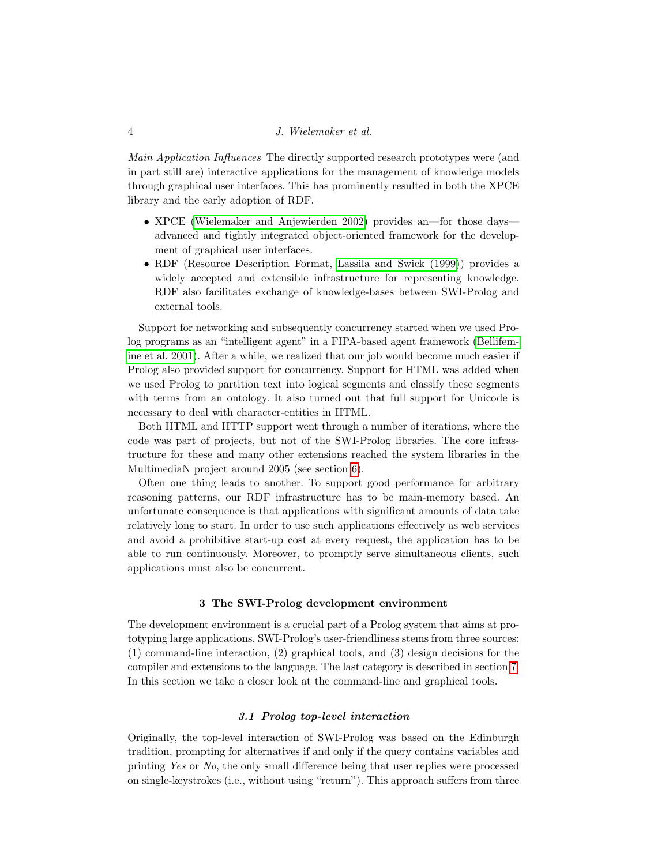Main Application Influences The directly supported research prototypes were (and in part still are) interactive applications for the management of knowledge models through graphical user interfaces. This has prominently resulted in both the XPCE library and the early adoption of RDF.

- XPCE [\(Wielemaker and Anjewierden 2002\)](#page-29-1) provides an—for those days advanced and tightly integrated object-oriented framework for the development of graphical user interfaces.
- RDF (Resource Description Format, [Lassila and Swick \(1999\)](#page-28-1)) provides a widely accepted and extensible infrastructure for representing knowledge. RDF also facilitates exchange of knowledge-bases between SWI-Prolog and external tools.

Support for networking and subsequently concurrency started when we used Prolog programs as an "intelligent agent" in a FIPA-based agent framework [\(Bellifem](#page-28-2)[ine et al. 2001\)](#page-28-2). After a while, we realized that our job would become much easier if Prolog also provided support for concurrency. Support for HTML was added when we used Prolog to partition text into logical segments and classify these segments with terms from an ontology. It also turned out that full support for Unicode is necessary to deal with character-entities in HTML.

Both HTML and HTTP support went through a number of iterations, where the code was part of projects, but not of the SWI-Prolog libraries. The core infrastructure for these and many other extensions reached the system libraries in the MultimediaN project around 2005 (see section [6\)](#page-14-0).

Often one thing leads to another. To support good performance for arbitrary reasoning patterns, our RDF infrastructure has to be main-memory based. An unfortunate consequence is that applications with significant amounts of data take relatively long to start. In order to use such applications effectively as web services and avoid a prohibitive start-up cost at every request, the application has to be able to run continuously. Moreover, to promptly serve simultaneous clients, such applications must also be concurrent.

#### 3 The SWI-Prolog development environment

<span id="page-3-0"></span>The development environment is a crucial part of a Prolog system that aims at prototyping large applications. SWI-Prolog's user-friendliness stems from three sources: (1) command-line interaction, (2) graphical tools, and (3) design decisions for the compiler and extensions to the language. The last category is described in section [7.](#page-16-0) In this section we take a closer look at the command-line and graphical tools.

# 3.1 Prolog top-level interaction

Originally, the top-level interaction of SWI-Prolog was based on the Edinburgh tradition, prompting for alternatives if and only if the query contains variables and printing Yes or No, the only small difference being that user replies were processed on single-keystrokes (i.e., without using "return"). This approach suffers from three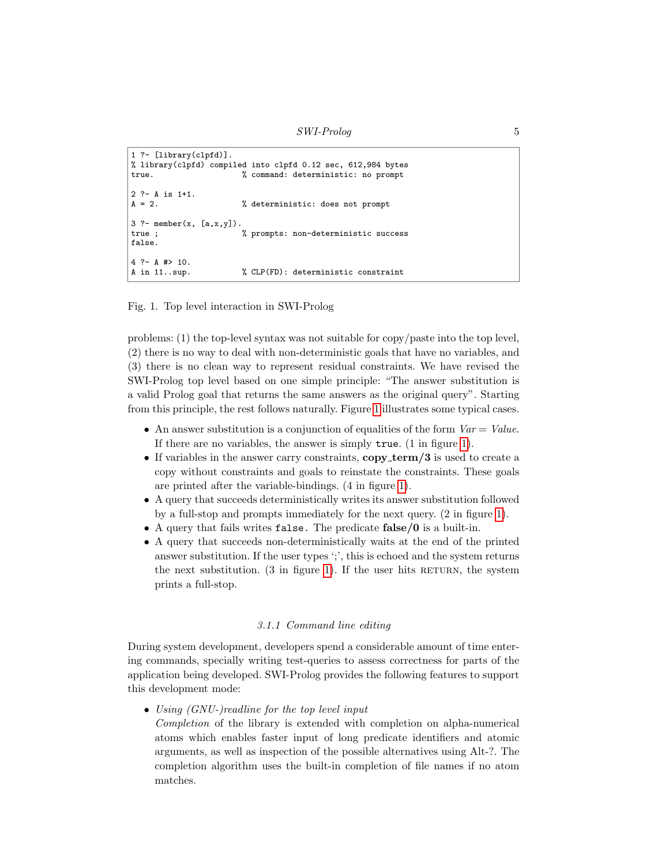```
SWI-Prolog 5
```

```
1 ?- [library(clpfd)].
% library(clpfd) compiled into clpfd 0.12 sec, 612,984 bytes
true. % command: deterministic: no prompt
2 ?- A is 1+1.
A = 2. % deterministic: does not prompt
3 ?- member(x, [a,x,y]).
true ; \frac{1}{2} , prompts: non-deterministic success
false.
4 ?- A #> 10.
A in 11..sup. \% CLP(FD): deterministic constraint
```
<span id="page-4-0"></span>Fig. 1. Top level interaction in SWI-Prolog

problems: (1) the top-level syntax was not suitable for copy/paste into the top level, (2) there is no way to deal with non-deterministic goals that have no variables, and (3) there is no clean way to represent residual constraints. We have revised the SWI-Prolog top level based on one simple principle: "The answer substitution is a valid Prolog goal that returns the same answers as the original query". Starting from this principle, the rest follows naturally. Figure [1](#page-4-0) illustrates some typical cases.

- An answer substitution is a conjunction of equalities of the form  $Var = Value$ . If there are no variables, the answer is simply true. (1 in figure [1\)](#page-4-0).
- If variables in the answer carry constraints, **copy\_term/3** is used to create a copy without constraints and goals to reinstate the constraints. These goals are printed after the variable-bindings. (4 in figure [1\)](#page-4-0).
- A query that succeeds deterministically writes its answer substitution followed by a full-stop and prompts immediately for the next query. (2 in figure [1\)](#page-4-0).
- A query that fails writes false. The predicate false/0 is a built-in.
- A query that succeeds non-deterministically waits at the end of the printed answer substitution. If the user types ';', this is echoed and the system returns the next substitution.  $(3 \text{ in figure 1})$ . If the user hits RETURN, the system prints a full-stop.

### 3.1.1 Command line editing

During system development, developers spend a considerable amount of time entering commands, specially writing test-queries to assess correctness for parts of the application being developed. SWI-Prolog provides the following features to support this development mode:

• Using (GNU-)readline for the top level input

Completion of the library is extended with completion on alpha-numerical atoms which enables faster input of long predicate identifiers and atomic arguments, as well as inspection of the possible alternatives using Alt-?. The completion algorithm uses the built-in completion of file names if no atom matches.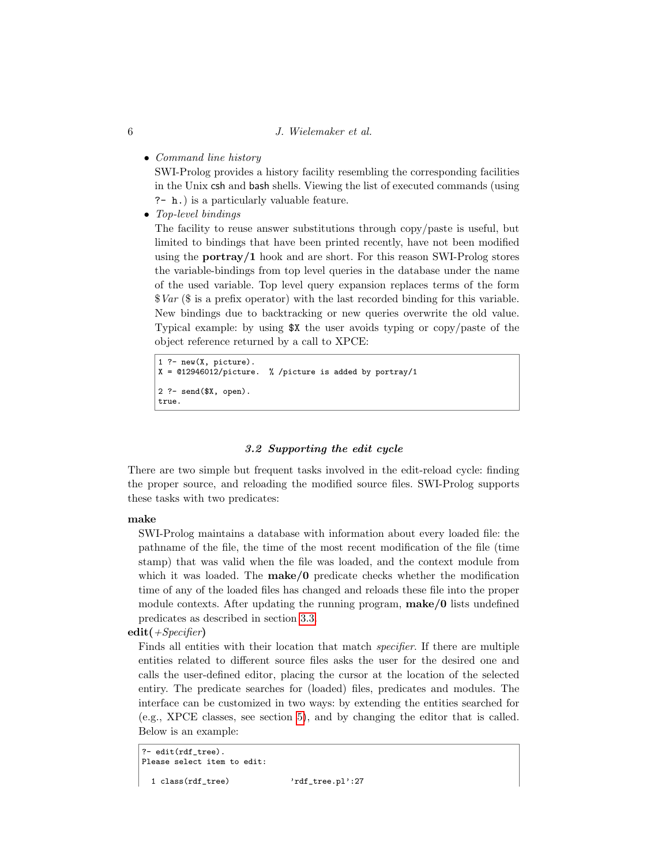#### • Command line history

SWI-Prolog provides a history facility resembling the corresponding facilities in the Unix csh and bash shells. Viewing the list of executed commands (using ?- h.) is a particularly valuable feature.

• Top-level bindings

The facility to reuse answer substitutions through copy/paste is useful, but limited to bindings that have been printed recently, have not been modified using the portray/1 hook and are short. For this reason SWI-Prolog stores the variable-bindings from top level queries in the database under the name of the used variable. Top level query expansion replaces terms of the form \$Var (\$ is a prefix operator) with the last recorded binding for this variable. New bindings due to backtracking or new queries overwrite the old value. Typical example: by using \$X the user avoids typing or copy/paste of the object reference returned by a call to XPCE:

```
1 ?- new(X, picture).
X = 012946012/picture. % /picture is added by portray/1
2 ?- send($X, open).
true.
```
# 3.2 Supporting the edit cycle

<span id="page-5-0"></span>There are two simple but frequent tasks involved in the edit-reload cycle: finding the proper source, and reloading the modified source files. SWI-Prolog supports these tasks with two predicates:

### make

SWI-Prolog maintains a database with information about every loaded file: the pathname of the file, the time of the most recent modification of the file (time stamp) that was valid when the file was loaded, and the context module from which it was loaded. The **make/0** predicate checks whether the modification time of any of the loaded files has changed and reloads these file into the proper module contexts. After updating the running program, **make/0** lists undefined predicates as described in section [3.3.](#page-6-0)

 $edit(+Specific)$ 

Finds all entities with their location that match *specifier*. If there are multiple entities related to different source files asks the user for the desired one and calls the user-defined editor, placing the cursor at the location of the selected entiry. The predicate searches for (loaded) files, predicates and modules. The interface can be customized in two ways: by extending the entities searched for (e.g., XPCE classes, see section [5\)](#page-12-0), and by changing the editor that is called. Below is an example:

```
?- edit(rdf_tree).
Please select item to edit:
```
1 class(rdf\_tree) 'rdf\_tree.pl':27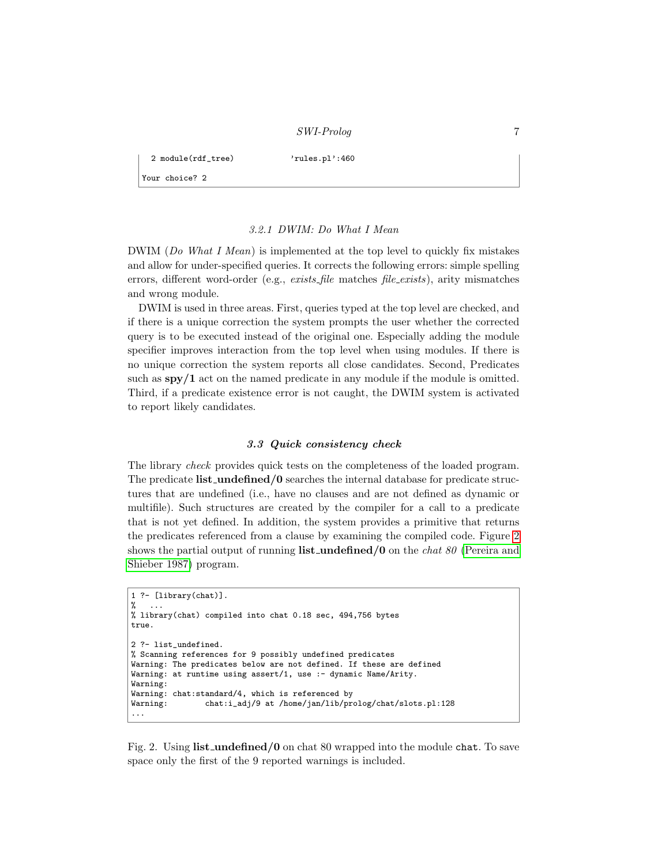```
SWI-Prolog 7
```
2 module(rdf\_tree) 'rules.pl':460

Your choice? 2

#### 3.2.1 DWIM: Do What I Mean

DWIM (Do What I Mean) is implemented at the top level to quickly fix mistakes and allow for under-specified queries. It corrects the following errors: simple spelling errors, different word-order (e.g., exists file matches file exists), arity mismatches and wrong module.

DWIM is used in three areas. First, queries typed at the top level are checked, and if there is a unique correction the system prompts the user whether the corrected query is to be executed instead of the original one. Especially adding the module specifier improves interaction from the top level when using modules. If there is no unique correction the system reports all close candidates. Second, Predicates such as  $spy/1$  act on the named predicate in any module if the module is omitted. Third, if a predicate existence error is not caught, the DWIM system is activated to report likely candidates.

# 3.3 Quick consistency check

<span id="page-6-0"></span>The library check provides quick tests on the completeness of the loaded program. The predicate list\_undefined/0 searches the internal database for predicate structures that are undefined (i.e., have no clauses and are not defined as dynamic or multifile). Such structures are created by the compiler for a call to a predicate that is not yet defined. In addition, the system provides a primitive that returns the predicates referenced from a clause by examining the compiled code. Figure [2](#page-6-1) shows the partial output of running **list\_undefined/0** on the *chat 80* [\(Pereira and](#page-28-3) [Shieber 1987\)](#page-28-3) program.

```
1 ?- [library(chat)].
    % ...
% library(chat) compiled into chat 0.18 sec, 494,756 bytes
true.
2 ?- list_undefined.
% Scanning references for 9 possibly undefined predicates
Warning: The predicates below are not defined. If these are defined
Warning: at runtime using assert/1, use :- dynamic Name/Arity.
Warning:
Warning: chat:standard/4, which is referenced by
Warning: chat:i_adj/9 at /home/jan/lib/prolog/chat/slots.pl:128
...
```
<span id="page-6-1"></span>Fig. 2. Using list undefined/0 on chat 80 wrapped into the module chat. To save space only the first of the 9 reported warnings is included.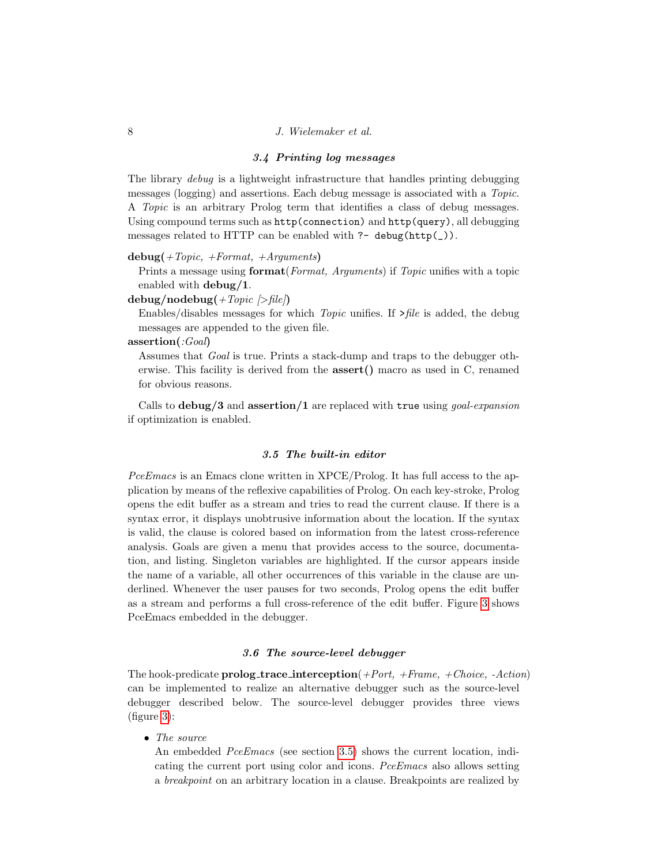#### 3.4 Printing log messages

The library *debug* is a lightweight infrastructure that handles printing debugging messages (logging) and assertions. Each debug message is associated with a Topic. A Topic is an arbitrary Prolog term that identifies a class of debug messages. Using compound terms such as http(connection) and http(query), all debugging messages related to HTTP can be enabled with  $?$ - debug(http()).

### $\text{debug}(+Topic, +Format, +Arguments)$

Prints a message using **format** (*Format, Arguments*) if *Topic* unifies with a topic enabled with debug/1.

 $\text{debug}/\text{nodebug}(+Topic \geq file)$ 

Enables/disables messages for which *Topic* unifies. If  $>\text{file}$  is added, the debug messages are appended to the given file.

assertion(:Goal)

Assumes that Goal is true. Prints a stack-dump and traps to the debugger otherwise. This facility is derived from the assert() macro as used in C, renamed for obvious reasons.

Calls to  $\text{debug}/3$  and  $\text{assertion}/1$  are replaced with true using *qoal-expansion* if optimization is enabled.

# 3.5 The built-in editor

<span id="page-7-0"></span>PceEmacs is an Emacs clone written in XPCE/Prolog. It has full access to the application by means of the reflexive capabilities of Prolog. On each key-stroke, Prolog opens the edit buffer as a stream and tries to read the current clause. If there is a syntax error, it displays unobtrusive information about the location. If the syntax is valid, the clause is colored based on information from the latest cross-reference analysis. Goals are given a menu that provides access to the source, documentation, and listing. Singleton variables are highlighted. If the cursor appears inside the name of a variable, all other occurrences of this variable in the clause are underlined. Whenever the user pauses for two seconds, Prolog opens the edit buffer as a stream and performs a full cross-reference of the edit buffer. Figure [3](#page-8-0) shows PceEmacs embedded in the debugger.

# 3.6 The source-level debugger

The hook-predicate **prolog\_trace\_interception**( $+Port$ ,  $+Frame$ ,  $+ Choice$ ,  $-Action$ ) can be implemented to realize an alternative debugger such as the source-level debugger described below. The source-level debugger provides three views (figure [3\)](#page-8-0):

• The source

An embedded *PceEmacs* (see section [3.5\)](#page-7-0) shows the current location, indicating the current port using color and icons. PceEmacs also allows setting a breakpoint on an arbitrary location in a clause. Breakpoints are realized by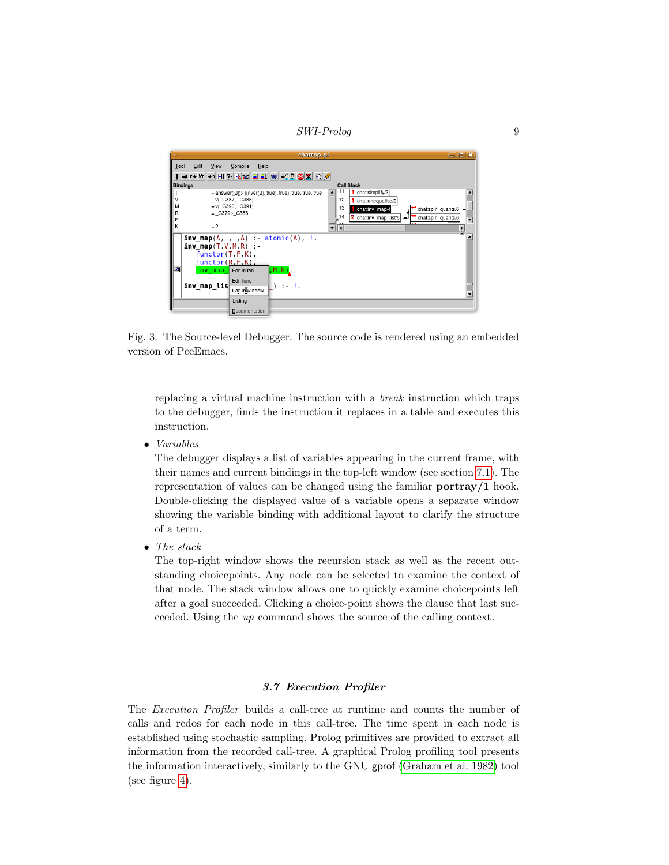

Fig. 3. The Source-level Debugger. The source code is rendered using an embedded version of PceEmacs.

<span id="page-8-0"></span>replacing a virtual machine instruction with a break instruction which traps to the debugger, finds the instruction it replaces in a table and executes this instruction.

• Variables

The debugger displays a list of variables appearing in the current frame, with their names and current bindings in the top-left window (see section [7.1\)](#page-16-1). The representation of values can be changed using the familiar portray/1 hook. Double-clicking the displayed value of a variable opens a separate window showing the variable binding with additional layout to clarify the structure of a term.

• The stack

The top-right window shows the recursion stack as well as the recent outstanding choicepoints. Any node can be selected to examine the context of that node. The stack window allows one to quickly examine choicepoints left after a goal succeeded. Clicking a choice-point shows the clause that last succeeded. Using the up command shows the source of the calling context.

# 3.7 Execution Profiler

The Execution Profiler builds a call-tree at runtime and counts the number of calls and redos for each node in this call-tree. The time spent in each node is established using stochastic sampling. Prolog primitives are provided to extract all information from the recorded call-tree. A graphical Prolog profiling tool presents the information interactively, similarly to the GNU gprof [\(Graham et al. 1982\)](#page-28-4) tool (see figure [4\)](#page-9-0).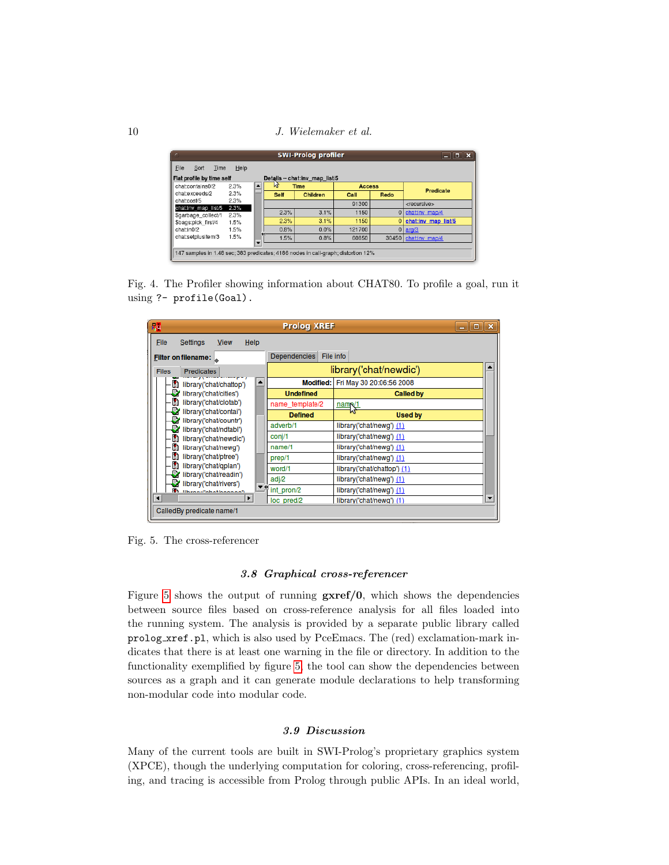| <b>SWI-Prolog profiler</b><br>$ \blacksquare$ $\times$<br>$\sqrt{2}$              |              |                          |             |                 |               |          |                         |  |
|-----------------------------------------------------------------------------------|--------------|--------------------------|-------------|-----------------|---------------|----------|-------------------------|--|
| File<br>Sort<br>Time                                                              | Help         |                          |             |                 |               |          |                         |  |
| Flat profile by time self<br>Details -- chat:inv map list/5                       |              |                          |             |                 |               |          |                         |  |
| chat:contains0/2                                                                  | 2.3%         | $\blacktriangle$         | hς          | <b>Time</b>     | <b>Access</b> |          | <b>Predicate</b>        |  |
| chat:exceeds/2                                                                    | 2.3%         |                          | <b>Self</b> | <b>Children</b> | Call          | Redo     |                         |  |
| chat:cost/5                                                                       | 2.3%         |                          |             |                 | 91300         |          | <recursive></recursive> |  |
| chat:inv_map_list/5<br>\$garbage collect/1                                        | 2.3%<br>2.3% |                          | 2.3%        | 3.1%            | 1150          | $\Omega$ | chat:inv map/4          |  |
| \$bags:pick_first/4                                                               | 1.5%         |                          | 2.3%        | 3.1%            | 1150          | $\Omega$ | chat: inv map list/5    |  |
| chat:in0/2                                                                        | 1.5%         |                          | 0.8%        | 0.0%            | 121700        | 0        | arg/3                   |  |
| chat:setplusitem/3                                                                | 1.5%         |                          | 1.5%        | 0.8%            | 60850         |          | 30450 chat:inv map/4    |  |
|                                                                                   |              | $\overline{\phantom{a}}$ |             |                 |               |          |                         |  |
| 147 samples in 1.48 sec; 383 predicates; 4186 nodes in call-graph; distortion 12% |              |                          |             |                 |               |          |                         |  |

<span id="page-9-0"></span>Fig. 4. The Profiler showing information about CHAT80. To profile a goal, run it using ?- profile(Goal).

| 週<br><b>Prolog XREF</b><br><u>— 10</u>                       |                                  |                             |  |  |  |  |  |
|--------------------------------------------------------------|----------------------------------|-----------------------------|--|--|--|--|--|
| File<br>Settings<br><b>View</b><br>Help                      |                                  |                             |  |  |  |  |  |
| <b>Filter on filename:</b>                                   | <b>Dependencies</b><br>File info |                             |  |  |  |  |  |
| Predicates<br><b>Files</b>                                   | library('chat/newdic')           |                             |  |  |  |  |  |
| ٠<br>n<br>library('chat/chattop')                            | Modified:                        | Fri May 30 20:06:56 2008    |  |  |  |  |  |
| в<br>library('chat/cities')                                  | <b>Undefined</b>                 | <b>Called by</b>            |  |  |  |  |  |
| n<br>library('chat/clotab')                                  | name_template/2                  | $nam$ <sup>21</sup>         |  |  |  |  |  |
| 57<br>library('chat/contai')<br>57<br>library('chat/countr') | <b>Defined</b>                   | <b>Used by</b>              |  |  |  |  |  |
| 87<br>library('chat/ndtabl')                                 | adverb/1                         | library('chat/newg') (1)    |  |  |  |  |  |
| n<br>library('chat/newdic')                                  | conj/1                           | library('chat/newg') (1)    |  |  |  |  |  |
| n<br>library('chat/newg')                                    | name/1                           | library('chat/newg') (1)    |  |  |  |  |  |
| n<br>library('chat/ptree')                                   | prep/1                           | library('chat/newg') (1)    |  |  |  |  |  |
| n<br>library('chat/qplan')                                   | word/1                           | library('chat/chattop') (1) |  |  |  |  |  |
| 87<br>library('chat/readin')<br>B.<br>library('chat/rivers') | adj/2                            | library('chat/newg') (1)    |  |  |  |  |  |
| <b>D</b> librandabationanan                                  | int pron/2                       | library('chat/newg') $(1)$  |  |  |  |  |  |
| $\blacktriangleleft$                                         | loc pred/2                       | library('chat/newg') (1)    |  |  |  |  |  |
| CalledBy predicate name/1                                    |                                  |                             |  |  |  |  |  |

<span id="page-9-1"></span>Fig. 5. The cross-referencer

# 3.8 Graphical cross-referencer

Figure [5](#page-9-1) shows the output of running  $g\chi\chi\chi$  of  $f(0)$ , which shows the dependencies between source files based on cross-reference analysis for all files loaded into the running system. The analysis is provided by a separate public library called prolog xref.pl, which is also used by PceEmacs. The (red) exclamation-mark indicates that there is at least one warning in the file or directory. In addition to the functionality exemplified by figure [5,](#page-9-1) the tool can show the dependencies between sources as a graph and it can generate module declarations to help transforming non-modular code into modular code.

#### 3.9 Discussion

Many of the current tools are built in SWI-Prolog's proprietary graphics system (XPCE), though the underlying computation for coloring, cross-referencing, profiling, and tracing is accessible from Prolog through public APIs. In an ideal world,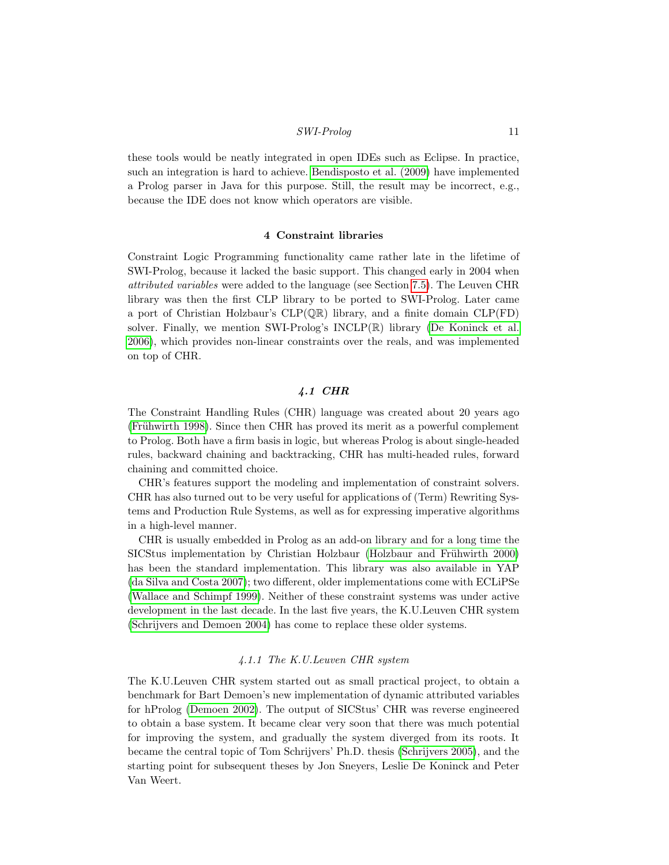these tools would be neatly integrated in open IDEs such as Eclipse. In practice, such an integration is hard to achieve. [Bendisposto et al. \(2009\)](#page-28-5) have implemented a Prolog parser in Java for this purpose. Still, the result may be incorrect, e.g., because the IDE does not know which operators are visible.

#### 4 Constraint libraries

<span id="page-10-0"></span>Constraint Logic Programming functionality came rather late in the lifetime of SWI-Prolog, because it lacked the basic support. This changed early in 2004 when attributed variables were added to the language (see Section [7.5\)](#page-21-0). The Leuven CHR library was then the first CLP library to be ported to SWI-Prolog. Later came a port of Christian Holzbaur's  $CLP(\mathbb{QR})$  library, and a finite domain  $CLP(FD)$ solver. Finally, we mention SWI-Prolog's INCLP(R) library [\(De Koninck et al.](#page-28-6) [2006\)](#page-28-6), which provides non-linear constraints over the reals, and was implemented on top of CHR.

# 4.1 CHR

The Constraint Handling Rules (CHR) language was created about 20 years ago [\(Fr¨uhwirth 1998\)](#page-28-7). Since then CHR has proved its merit as a powerful complement to Prolog. Both have a firm basis in logic, but whereas Prolog is about single-headed rules, backward chaining and backtracking, CHR has multi-headed rules, forward chaining and committed choice.

CHR's features support the modeling and implementation of constraint solvers. CHR has also turned out to be very useful for applications of (Term) Rewriting Systems and Production Rule Systems, as well as for expressing imperative algorithms in a high-level manner.

CHR is usually embedded in Prolog as an add-on library and for a long time the SICStus implementation by Christian Holzbaur (Holzbaur and Frühwirth 2000) has been the standard implementation. This library was also available in YAP [\(da Silva and Costa 2007\)](#page-28-9); two different, older implementations come with ECLiPSe [\(Wallace and Schimpf 1999\)](#page-29-2). Neither of these constraint systems was under active development in the last decade. In the last five years, the K.U.Leuven CHR system [\(Schrijvers and Demoen 2004\)](#page-29-3) has come to replace these older systems.

### 4.1.1 The K.U.Leuven CHR system

The K.U.Leuven CHR system started out as small practical project, to obtain a benchmark for Bart Demoen's new implementation of dynamic attributed variables for hProlog [\(Demoen 2002\)](#page-28-10). The output of SICStus' CHR was reverse engineered to obtain a base system. It became clear very soon that there was much potential for improving the system, and gradually the system diverged from its roots. It became the central topic of Tom Schrijvers' Ph.D. thesis [\(Schrijvers 2005\)](#page-29-4), and the starting point for subsequent theses by Jon Sneyers, Leslie De Koninck and Peter Van Weert.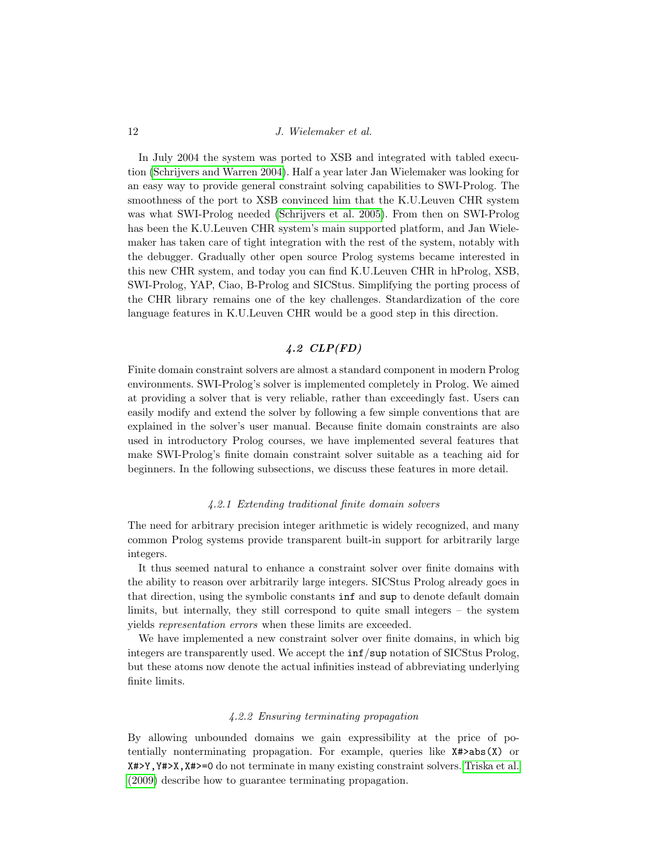In July 2004 the system was ported to XSB and integrated with tabled execution [\(Schrijvers and Warren 2004\)](#page-29-5). Half a year later Jan Wielemaker was looking for an easy way to provide general constraint solving capabilities to SWI-Prolog. The smoothness of the port to XSB convinced him that the K.U.Leuven CHR system was what SWI-Prolog needed [\(Schrijvers et al. 2005\)](#page-29-6). From then on SWI-Prolog has been the K.U.Leuven CHR system's main supported platform, and Jan Wielemaker has taken care of tight integration with the rest of the system, notably with the debugger. Gradually other open source Prolog systems became interested in this new CHR system, and today you can find K.U.Leuven CHR in hProlog, XSB, SWI-Prolog, YAP, Ciao, B-Prolog and SICStus. Simplifying the porting process of the CHR library remains one of the key challenges. Standardization of the core language features in K.U.Leuven CHR would be a good step in this direction.

# 4.2 CLP(FD)

Finite domain constraint solvers are almost a standard component in modern Prolog environments. SWI-Prolog's solver is implemented completely in Prolog. We aimed at providing a solver that is very reliable, rather than exceedingly fast. Users can easily modify and extend the solver by following a few simple conventions that are explained in the solver's user manual. Because finite domain constraints are also used in introductory Prolog courses, we have implemented several features that make SWI-Prolog's finite domain constraint solver suitable as a teaching aid for beginners. In the following subsections, we discuss these features in more detail.

#### 4.2.1 Extending traditional finite domain solvers

The need for arbitrary precision integer arithmetic is widely recognized, and many common Prolog systems provide transparent built-in support for arbitrarily large integers.

It thus seemed natural to enhance a constraint solver over finite domains with the ability to reason over arbitrarily large integers. SICStus Prolog already goes in that direction, using the symbolic constants inf and sup to denote default domain limits, but internally, they still correspond to quite small integers – the system yields representation errors when these limits are exceeded.

We have implemented a new constraint solver over finite domains, in which big integers are transparently used. We accept the inf/sup notation of SICStus Prolog, but these atoms now denote the actual infinities instead of abbreviating underlying finite limits.

### 4.2.2 Ensuring terminating propagation

By allowing unbounded domains we gain expressibility at the price of potentially nonterminating propagation. For example, queries like X#>abs(X) or X#>Y,Y#>X,X#>=0 do not terminate in many existing constraint solvers. [Triska et al.](#page-29-7) [\(2009\)](#page-29-7) describe how to guarantee terminating propagation.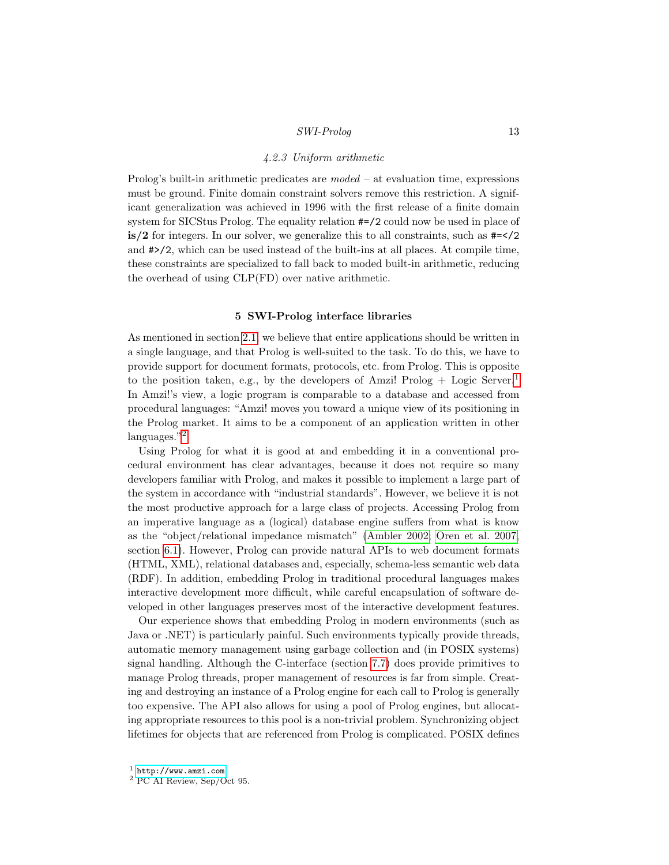#### 4.2.3 Uniform arithmetic

Prolog's built-in arithmetic predicates are  $model - at$  evaluation time, expressions must be ground. Finite domain constraint solvers remove this restriction. A significant generalization was achieved in 1996 with the first release of a finite domain system for SICStus Prolog. The equality relation #=/2 could now be used in place of  $is/2$  for integers. In our solver, we generalize this to all constraints, such as  $\#=<(2)$ and #>/2, which can be used instead of the built-ins at all places. At compile time, these constraints are specialized to fall back to moded built-in arithmetic, reducing the overhead of using CLP(FD) over native arithmetic.

#### 5 SWI-Prolog interface libraries

<span id="page-12-0"></span>As mentioned in section [2.1,](#page-2-0) we believe that entire applications should be written in a single language, and that Prolog is well-suited to the task. To do this, we have to provide support for document formats, protocols, etc. from Prolog. This is opposite to the position taken, e.g., by the developers of Amzi! Prolog  $+$  Logic Server.<sup>[1](#page-12-1)</sup> In Amzi!'s view, a logic program is comparable to a database and accessed from procedural languages: "Amzi! moves you toward a unique view of its positioning in the Prolog market. It aims to be a component of an application written in other languages."<sup>[2](#page-12-2)</sup>

Using Prolog for what it is good at and embedding it in a conventional procedural environment has clear advantages, because it does not require so many developers familiar with Prolog, and makes it possible to implement a large part of the system in accordance with "industrial standards". However, we believe it is not the most productive approach for a large class of projects. Accessing Prolog from an imperative language as a (logical) database engine suffers from what is know as the "object/relational impedance mismatch" [\(Ambler 2002;](#page-27-1) [Oren et al. 2007,](#page-28-11) section [6.1\)](#page-14-1). However, Prolog can provide natural APIs to web document formats (HTML, XML), relational databases and, especially, schema-less semantic web data (RDF). In addition, embedding Prolog in traditional procedural languages makes interactive development more difficult, while careful encapsulation of software developed in other languages preserves most of the interactive development features.

Our experience shows that embedding Prolog in modern environments (such as Java or .NET) is particularly painful. Such environments typically provide threads, automatic memory management using garbage collection and (in POSIX systems) signal handling. Although the C-interface (section [7.7\)](#page-22-0) does provide primitives to manage Prolog threads, proper management of resources is far from simple. Creating and destroying an instance of a Prolog engine for each call to Prolog is generally too expensive. The API also allows for using a pool of Prolog engines, but allocating appropriate resources to this pool is a non-trivial problem. Synchronizing object lifetimes for objects that are referenced from Prolog is complicated. POSIX defines

<span id="page-12-1"></span> $<sup>1</sup>$  <http://www.amzi.com></sup>

<span id="page-12-2"></span><sup>2</sup> PC AI Review, Sep/Oct 95.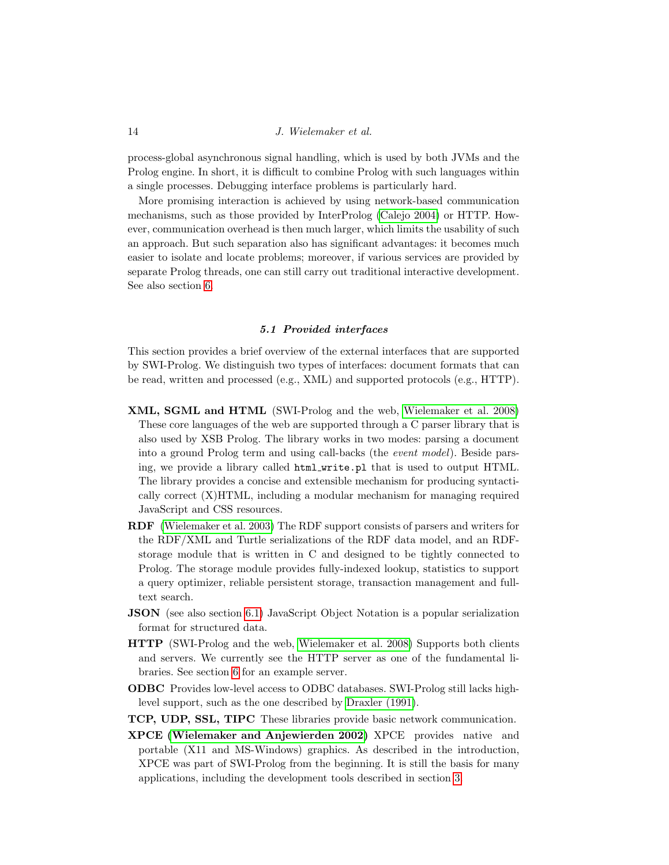process-global asynchronous signal handling, which is used by both JVMs and the Prolog engine. In short, it is difficult to combine Prolog with such languages within a single processes. Debugging interface problems is particularly hard.

More promising interaction is achieved by using network-based communication mechanisms, such as those provided by InterProlog [\(Calejo 2004\)](#page-28-12) or HTTP. However, communication overhead is then much larger, which limits the usability of such an approach. But such separation also has significant advantages: it becomes much easier to isolate and locate problems; moreover, if various services are provided by separate Prolog threads, one can still carry out traditional interactive development. See also section [6.](#page-14-0)

### 5.1 Provided interfaces

This section provides a brief overview of the external interfaces that are supported by SWI-Prolog. We distinguish two types of interfaces: document formats that can be read, written and processed (e.g., XML) and supported protocols (e.g., HTTP).

- XML, SGML and HTML (SWI-Prolog and the web, [Wielemaker et al. 2008\)](#page-29-8) These core languages of the web are supported through a C parser library that is also used by XSB Prolog. The library works in two modes: parsing a document into a ground Prolog term and using call-backs (the event model). Beside parsing, we provide a library called html\_write.pl that is used to output HTML. The library provides a concise and extensible mechanism for producing syntactically correct (X)HTML, including a modular mechanism for managing required JavaScript and CSS resources.
- RDF [\(Wielemaker et al. 2003\)](#page-29-0) The RDF support consists of parsers and writers for the RDF/XML and Turtle serializations of the RDF data model, and an RDFstorage module that is written in C and designed to be tightly connected to Prolog. The storage module provides fully-indexed lookup, statistics to support a query optimizer, reliable persistent storage, transaction management and fulltext search.
- JSON (see also section [6.1\)](#page-14-1) JavaScript Object Notation is a popular serialization format for structured data.
- HTTP (SWI-Prolog and the web, [Wielemaker et al. 2008\)](#page-29-8) Supports both clients and servers. We currently see the HTTP server as one of the fundamental libraries. See section [6](#page-14-0) for an example server.
- ODBC Provides low-level access to ODBC databases. SWI-Prolog still lacks highlevel support, such as the one described by [Draxler \(1991\)](#page-28-13).
- TCP, UDP, SSL, TIPC These libraries provide basic network communication.
- XPCE [\(Wielemaker and Anjewierden 2002\)](#page-29-1) XPCE provides native and portable (X11 and MS-Windows) graphics. As described in the introduction, XPCE was part of SWI-Prolog from the beginning. It is still the basis for many applications, including the development tools described in section [3.](#page-3-0)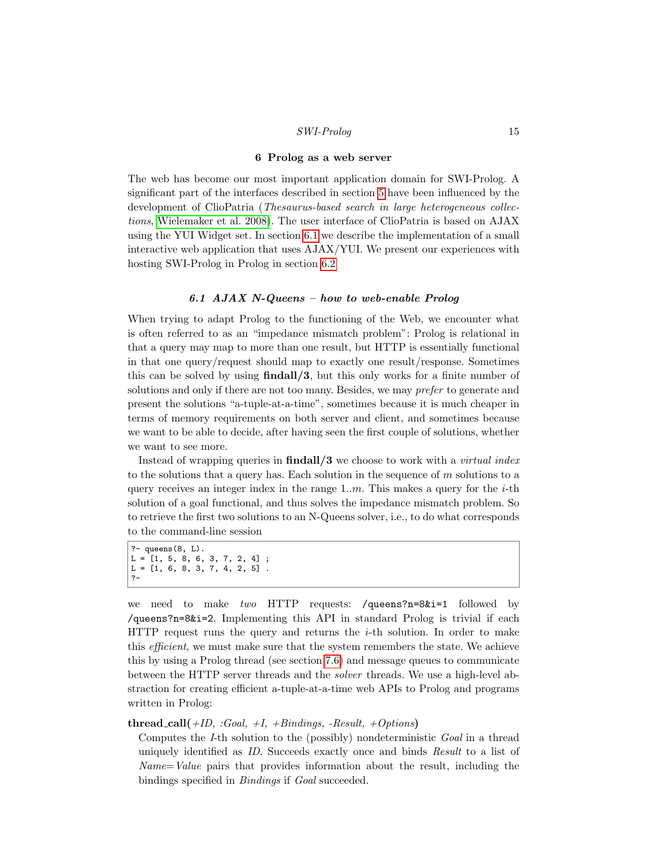#### 6 Prolog as a web server

<span id="page-14-0"></span>The web has become our most important application domain for SWI-Prolog. A significant part of the interfaces described in section [5](#page-12-0) have been influenced by the development of ClioPatria (Thesaurus-based search in large heterogeneous collections, [Wielemaker et al. 2008\)](#page-29-9). The user interface of ClioPatria is based on AJAX using the YUI Widget set. In section [6.1](#page-14-1) we describe the implementation of a small interactive web application that uses AJAX/YUI. We present our experiences with hosting SWI-Prolog in Prolog in section [6.2](#page-15-0)

# 6.1 AJAX N-Queens – how to web-enable Prolog

<span id="page-14-1"></span>When trying to adapt Prolog to the functioning of the Web, we encounter what is often referred to as an "impedance mismatch problem": Prolog is relational in that a query may map to more than one result, but HTTP is essentially functional in that one query/request should map to exactly one result/response. Sometimes this can be solved by using findall/3, but this only works for a finite number of solutions and only if there are not too many. Besides, we may *prefer* to generate and present the solutions "a-tuple-at-a-time", sometimes because it is much cheaper in terms of memory requirements on both server and client, and sometimes because we want to be able to decide, after having seen the first couple of solutions, whether we want to see more.

Instead of wrapping queries in **findall**/3 we choose to work with a *virtual index* to the solutions that a query has. Each solution in the sequence of  $m$  solutions to a query receives an integer index in the range  $1..m$ . This makes a query for the *i*-th solution of a goal functional, and thus solves the impedance mismatch problem. So to retrieve the first two solutions to an N-Queens solver, i.e., to do what corresponds to the command-line session

```
?- queens(8, L).
L = [1, 5, 8, 6, 3, 7, 2, 4];
L = [1, 6, 8, 3, 7, 4, 2, 5].
?-
```
we need to make two HTTP requests: /queens?n=8&i=1 followed by /queens?n=8&i=2. Implementing this API in standard Prolog is trivial if each HTTP request runs the query and returns the  $i$ -th solution. In order to make this efficient, we must make sure that the system remembers the state. We achieve this by using a Prolog thread (see section [7.6\)](#page-21-1) and message queues to communicate between the HTTP server threads and the solver threads. We use a high-level abstraction for creating efficient a-tuple-at-a-time web APIs to Prolog and programs written in Prolog:

# thread\_call( $+ID$ , :Goal,  $+I$ ,  $+Bindings$ ,  $-Result$ ,  $+Options$ )

Computes the I-th solution to the (possibly) nondeterministic Goal in a thread uniquely identified as ID. Succeeds exactly once and binds Result to a list of Name=Value pairs that provides information about the result, including the bindings specified in Bindings if Goal succeeded.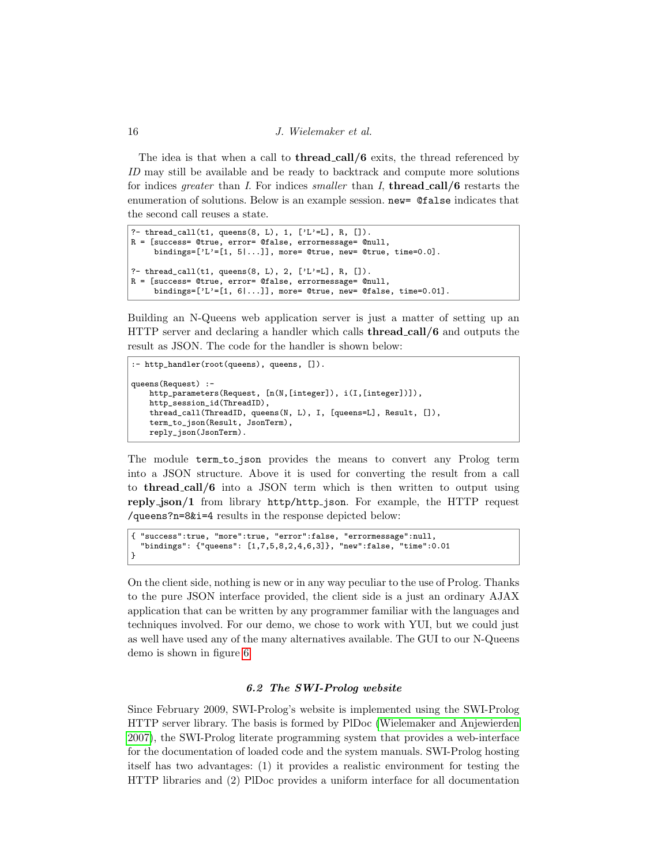The idea is that when a call to thread call/6 exits, the thread referenced by ID may still be available and be ready to backtrack and compute more solutions for indices *greater* than I. For indices *smaller* than I, **thread\_call/6** restarts the enumeration of solutions. Below is an example session. new= @false indicates that the second call reuses a state.

```
?- thread_call(t1, queens(8, L), 1, ['L'=L], R, []).
R = [success= @true, error= @false, errormessage= @null,
     bindings=[ 'L'=[1, 5|...]], more= @true, new= @true, time=0.0].
?- thread_call(t1, queens(8, L), 2, ['L'=L], R, []).
R = [success= @true, error= @false, errormessage= @null,
     bindings=['L'=[1, 6|...]], more= @true, new= @false, time=0.01].
```
Building an N-Queens web application server is just a matter of setting up an HTTP server and declaring a handler which calls thread call/6 and outputs the result as JSON. The code for the handler is shown below:

```
:- http_handler(root(queens), queens, []).
queens(Request) :-
   http_parameters(Request, [n(N,[integer]), i(I,[integer])]),
   http_session_id(ThreadID),
   thread_call(ThreadID, queens(N, L), I, [queens=L], Result, []),
   term_to_json(Result, JsonTerm),
   reply_json(JsonTerm).
```
The module term to json provides the means to convert any Prolog term into a JSON structure. Above it is used for converting the result from a call to thread call/6 into a JSON term which is then written to output using reply json/1 from library http/http json. For example, the HTTP request /queens?n=8&i=4 results in the response depicted below:

```
{ "success":true, "more":true, "error":false, "errormessage":null,
  "bindings": {"queens": [1,7,5,8,2,4,6,3]}, "new":false, "time":0.01
}
```
On the client side, nothing is new or in any way peculiar to the use of Prolog. Thanks to the pure JSON interface provided, the client side is a just an ordinary AJAX application that can be written by any programmer familiar with the languages and techniques involved. For our demo, we chose to work with YUI, but we could just as well have used any of the many alternatives available. The GUI to our N-Queens demo is shown in figure [6.](#page-16-2)

#### 6.2 The SWI-Prolog website

<span id="page-15-0"></span>Since February 2009, SWI-Prolog's website is implemented using the SWI-Prolog HTTP server library. The basis is formed by PlDoc [\(Wielemaker and Anjewierden](#page-29-10) [2007\)](#page-29-10), the SWI-Prolog literate programming system that provides a web-interface for the documentation of loaded code and the system manuals. SWI-Prolog hosting itself has two advantages: (1) it provides a realistic environment for testing the HTTP libraries and (2) PlDoc provides a uniform interface for all documentation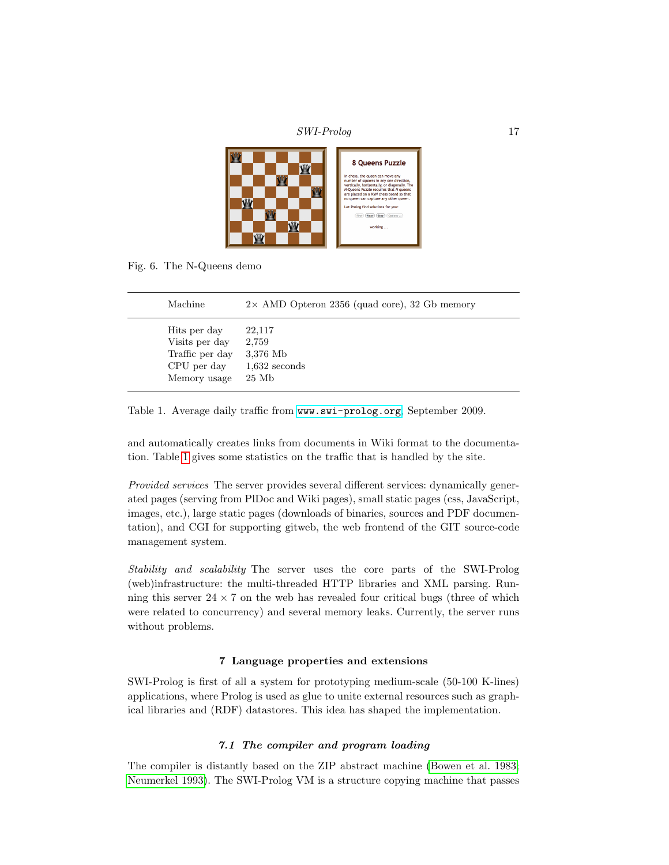

Fig. 6. The N-Queens demo

<span id="page-16-2"></span>

| Machine         | $2\times$ AMD Opteron 2356 (quad core), 32 Gb memory |
|-----------------|------------------------------------------------------|
| Hits per day    | 22,117                                               |
| Visits per day  | 2,759                                                |
| Traffic per day | 3,376 Mb                                             |
| CPU per day     | $1,632$ seconds                                      |
| Memory usage    | $25$ Mb                                              |

<span id="page-16-3"></span>Table 1. Average daily traffic from <www.swi-prolog.org>, September 2009.

and automatically creates links from documents in Wiki format to the documentation. Table [1](#page-16-3) gives some statistics on the traffic that is handled by the site.

Provided services The server provides several different services: dynamically generated pages (serving from PlDoc and Wiki pages), small static pages (css, JavaScript, images, etc.), large static pages (downloads of binaries, sources and PDF documentation), and CGI for supporting gitweb, the web frontend of the GIT source-code management system.

Stability and scalability The server uses the core parts of the SWI-Prolog (web)infrastructure: the multi-threaded HTTP libraries and XML parsing. Running this server  $24 \times 7$  on the web has revealed four critical bugs (three of which were related to concurrency) and several memory leaks. Currently, the server runs without problems.

# 7 Language properties and extensions

<span id="page-16-0"></span>SWI-Prolog is first of all a system for prototyping medium-scale (50-100 K-lines) applications, where Prolog is used as glue to unite external resources such as graphical libraries and (RDF) datastores. This idea has shaped the implementation.

# 7.1 The compiler and program loading

<span id="page-16-1"></span>The compiler is distantly based on the ZIP abstract machine [\(Bowen et al. 1983;](#page-28-0) [Neumerkel 1993\)](#page-28-14). The SWI-Prolog VM is a structure copying machine that passes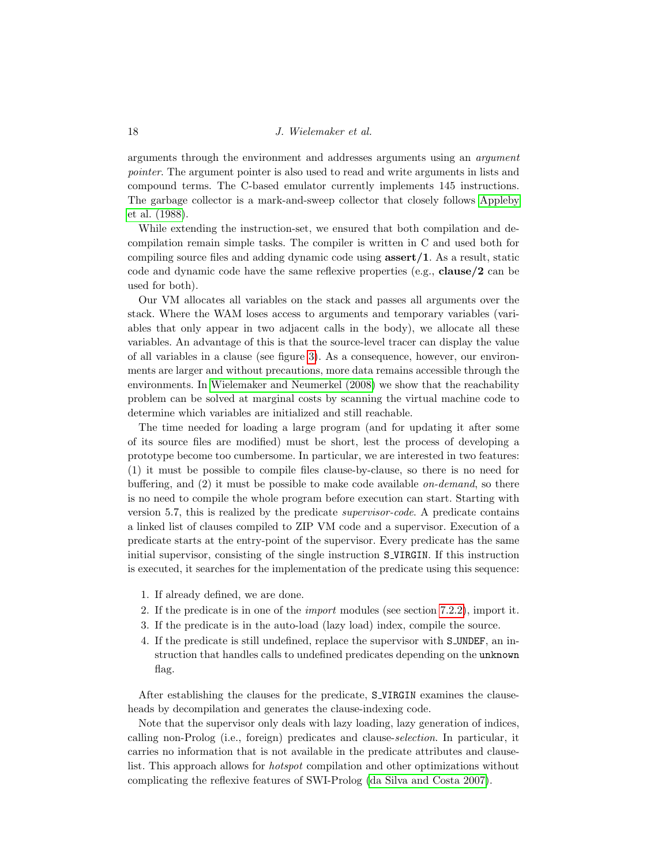arguments through the environment and addresses arguments using an argument pointer. The argument pointer is also used to read and write arguments in lists and compound terms. The C-based emulator currently implements 145 instructions. The garbage collector is a mark-and-sweep collector that closely follows [Appleby](#page-28-15) [et al. \(1988\)](#page-28-15).

While extending the instruction-set, we ensured that both compilation and decompilation remain simple tasks. The compiler is written in C and used both for compiling source files and adding dynamic code using assert/1. As a result, static code and dynamic code have the same reflexive properties (e.g., clause  $/2$  can be used for both).

Our VM allocates all variables on the stack and passes all arguments over the stack. Where the WAM loses access to arguments and temporary variables (variables that only appear in two adjacent calls in the body), we allocate all these variables. An advantage of this is that the source-level tracer can display the value of all variables in a clause (see figure [3\)](#page-8-0). As a consequence, however, our environments are larger and without precautions, more data remains accessible through the environments. In [Wielemaker and Neumerkel \(2008\)](#page-29-11) we show that the reachability problem can be solved at marginal costs by scanning the virtual machine code to determine which variables are initialized and still reachable.

The time needed for loading a large program (and for updating it after some of its source files are modified) must be short, lest the process of developing a prototype become too cumbersome. In particular, we are interested in two features: (1) it must be possible to compile files clause-by-clause, so there is no need for buffering, and  $(2)$  it must be possible to make code available on-demand, so there is no need to compile the whole program before execution can start. Starting with version 5.7, this is realized by the predicate supervisor-code. A predicate contains a linked list of clauses compiled to ZIP VM code and a supervisor. Execution of a predicate starts at the entry-point of the supervisor. Every predicate has the same initial supervisor, consisting of the single instruction S VIRGIN. If this instruction is executed, it searches for the implementation of the predicate using this sequence:

- 1. If already defined, we are done.
- 2. If the predicate is in one of the import modules (see section [7.2.2\)](#page-19-0), import it.
- 3. If the predicate is in the auto-load (lazy load) index, compile the source.
- 4. If the predicate is still undefined, replace the supervisor with S UNDEF, an instruction that handles calls to undefined predicates depending on the unknown flag.

After establishing the clauses for the predicate, S\_VIRGIN examines the clauseheads by decompilation and generates the clause-indexing code.

Note that the supervisor only deals with lazy loading, lazy generation of indices, calling non-Prolog (i.e., foreign) predicates and clause-selection. In particular, it carries no information that is not available in the predicate attributes and clauselist. This approach allows for hotspot compilation and other optimizations without complicating the reflexive features of SWI-Prolog [\(da Silva and Costa 2007\)](#page-28-9).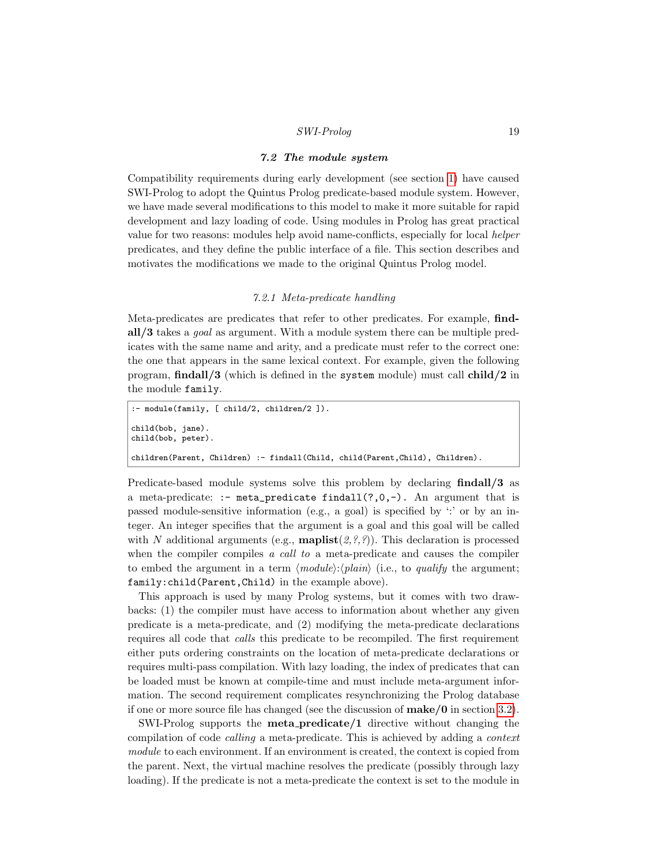#### 7.2 The module system

Compatibility requirements during early development (see section [1\)](#page-0-0) have caused SWI-Prolog to adopt the Quintus Prolog predicate-based module system. However, we have made several modifications to this model to make it more suitable for rapid development and lazy loading of code. Using modules in Prolog has great practical value for two reasons: modules help avoid name-conflicts, especially for local helper predicates, and they define the public interface of a file. This section describes and motivates the modifications we made to the original Quintus Prolog model.

#### 7.2.1 Meta-predicate handling

Meta-predicates are predicates that refer to other predicates. For example, findall/3 takes a goal as argument. With a module system there can be multiple predicates with the same name and arity, and a predicate must refer to the correct one: the one that appears in the same lexical context. For example, given the following program, findall/3 (which is defined in the system module) must call  $child/2$  in the module family.

```
:- module(family, [ child/2, children/2 ]).
child(bob, jane).
child(bob, peter).
children(Parent, Children) :- findall(Child, child(Parent,Child), Children).
```
Predicate-based module systems solve this problem by declaring **findall**/3 as a meta-predicate:  $:$  - meta\_predicate findall(?,0,-). An argument that is passed module-sensitive information (e.g., a goal) is specified by  $\cdot$ : or by an integer. An integer specifies that the argument is a goal and this goal will be called with N additional arguments (e.g., **maplist** $(2,2,2,2)$ ). This declaration is processed when the compiler compiles  $a$  call to a meta-predicate and causes the compiler to embed the argument in a term  $\langle module \rangle: \langle plain \rangle$  (i.e., to qualify the argument; family:child(Parent,Child) in the example above).

This approach is used by many Prolog systems, but it comes with two drawbacks: (1) the compiler must have access to information about whether any given predicate is a meta-predicate, and (2) modifying the meta-predicate declarations requires all code that calls this predicate to be recompiled. The first requirement either puts ordering constraints on the location of meta-predicate declarations or requires multi-pass compilation. With lazy loading, the index of predicates that can be loaded must be known at compile-time and must include meta-argument information. The second requirement complicates resynchronizing the Prolog database if one or more source file has changed (see the discussion of  $\text{make}/0$  in section [3.2\)](#page-5-0).

SWI-Prolog supports the meta predicate/1 directive without changing the compilation of code calling a meta-predicate. This is achieved by adding a context module to each environment. If an environment is created, the context is copied from the parent. Next, the virtual machine resolves the predicate (possibly through lazy loading). If the predicate is not a meta-predicate the context is set to the module in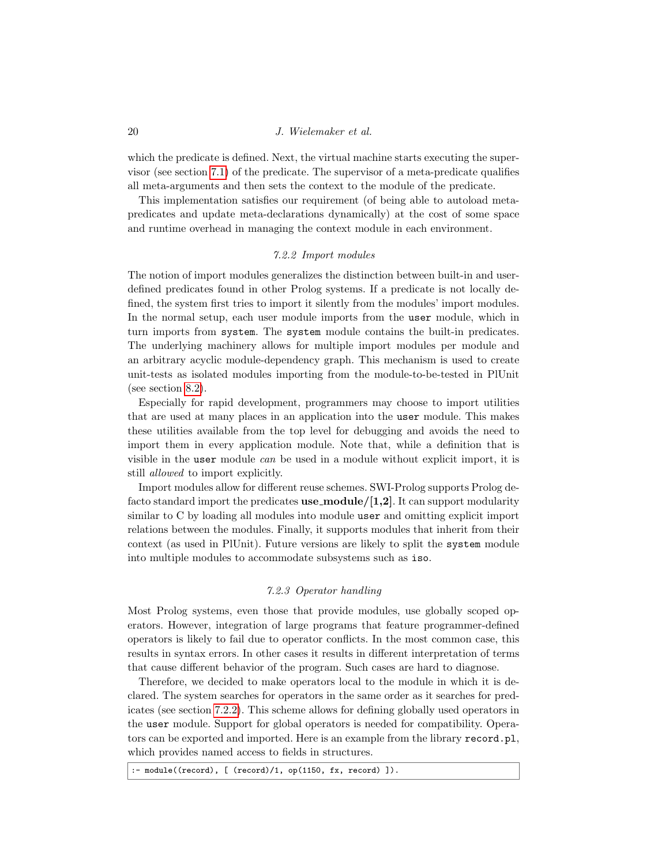which the predicate is defined. Next, the virtual machine starts executing the supervisor (see section [7.1\)](#page-16-1) of the predicate. The supervisor of a meta-predicate qualifies all meta-arguments and then sets the context to the module of the predicate.

This implementation satisfies our requirement (of being able to autoload metapredicates and update meta-declarations dynamically) at the cost of some space and runtime overhead in managing the context module in each environment.

#### 7.2.2 Import modules

<span id="page-19-0"></span>The notion of import modules generalizes the distinction between built-in and userdefined predicates found in other Prolog systems. If a predicate is not locally defined, the system first tries to import it silently from the modules' import modules. In the normal setup, each user module imports from the user module, which in turn imports from system. The system module contains the built-in predicates. The underlying machinery allows for multiple import modules per module and an arbitrary acyclic module-dependency graph. This mechanism is used to create unit-tests as isolated modules importing from the module-to-be-tested in PlUnit (see section [8.2\)](#page-26-0).

Especially for rapid development, programmers may choose to import utilities that are used at many places in an application into the user module. This makes these utilities available from the top level for debugging and avoids the need to import them in every application module. Note that, while a definition that is visible in the user module can be used in a module without explicit import, it is still allowed to import explicitly.

Import modules allow for different reuse schemes. SWI-Prolog supports Prolog defacto standard import the predicates use module  $/[1,2]$ . It can support modularity similar to C by loading all modules into module user and omitting explicit import relations between the modules. Finally, it supports modules that inherit from their context (as used in PlUnit). Future versions are likely to split the system module into multiple modules to accommodate subsystems such as iso.

# 7.2.3 Operator handling

Most Prolog systems, even those that provide modules, use globally scoped operators. However, integration of large programs that feature programmer-defined operators is likely to fail due to operator conflicts. In the most common case, this results in syntax errors. In other cases it results in different interpretation of terms that cause different behavior of the program. Such cases are hard to diagnose.

Therefore, we decided to make operators local to the module in which it is declared. The system searches for operators in the same order as it searches for predicates (see section [7.2.2\)](#page-19-0). This scheme allows for defining globally used operators in the user module. Support for global operators is needed for compatibility. Operators can be exported and imported. Here is an example from the library record.pl, which provides named access to fields in structures.

:- module((record), [ (record)/1, op(1150, fx, record) ]).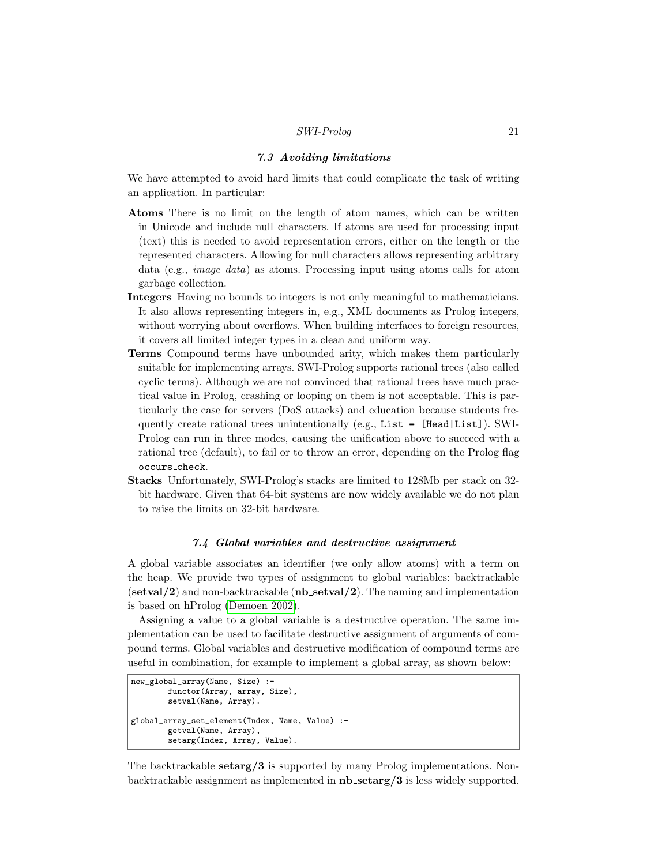#### 7.3 Avoiding limitations

We have attempted to avoid hard limits that could complicate the task of writing an application. In particular:

- Atoms There is no limit on the length of atom names, which can be written in Unicode and include null characters. If atoms are used for processing input (text) this is needed to avoid representation errors, either on the length or the represented characters. Allowing for null characters allows representing arbitrary data (e.g., image data) as atoms. Processing input using atoms calls for atom garbage collection.
- Integers Having no bounds to integers is not only meaningful to mathematicians. It also allows representing integers in, e.g., XML documents as Prolog integers, without worrying about overflows. When building interfaces to foreign resources, it covers all limited integer types in a clean and uniform way.
- Terms Compound terms have unbounded arity, which makes them particularly suitable for implementing arrays. SWI-Prolog supports rational trees (also called cyclic terms). Although we are not convinced that rational trees have much practical value in Prolog, crashing or looping on them is not acceptable. This is particularly the case for servers (DoS attacks) and education because students frequently create rational trees unintentionally (e.g., List  $=$  [Head|List]). SWI-Prolog can run in three modes, causing the unification above to succeed with a rational tree (default), to fail or to throw an error, depending on the Prolog flag occurs check.
- Stacks Unfortunately, SWI-Prolog's stacks are limited to 128Mb per stack on 32 bit hardware. Given that 64-bit systems are now widely available we do not plan to raise the limits on 32-bit hardware.

### 7.4 Global variables and destructive assignment

A global variable associates an identifier (we only allow atoms) with a term on the heap. We provide two types of assignment to global variables: backtrackable  $(\text{setval}/2)$  and non-backtrackable  $(\text{nb}\_\text{setval}/2)$ . The naming and implementation is based on hProlog [\(Demoen 2002\)](#page-28-10).

Assigning a value to a global variable is a destructive operation. The same implementation can be used to facilitate destructive assignment of arguments of compound terms. Global variables and destructive modification of compound terms are useful in combination, for example to implement a global array, as shown below:

```
new_global_array(Name, Size) :-
        functor(Array, array, Size),
        setval(Name, Array).
global_array_set_element(Index, Name, Value) :-
        getval(Name, Array),
        setarg(Index, Array, Value).
```
The backtrackable setarg/3 is supported by many Prolog implementations. Nonbacktrackable assignment as implemented in nb setarg/3 is less widely supported.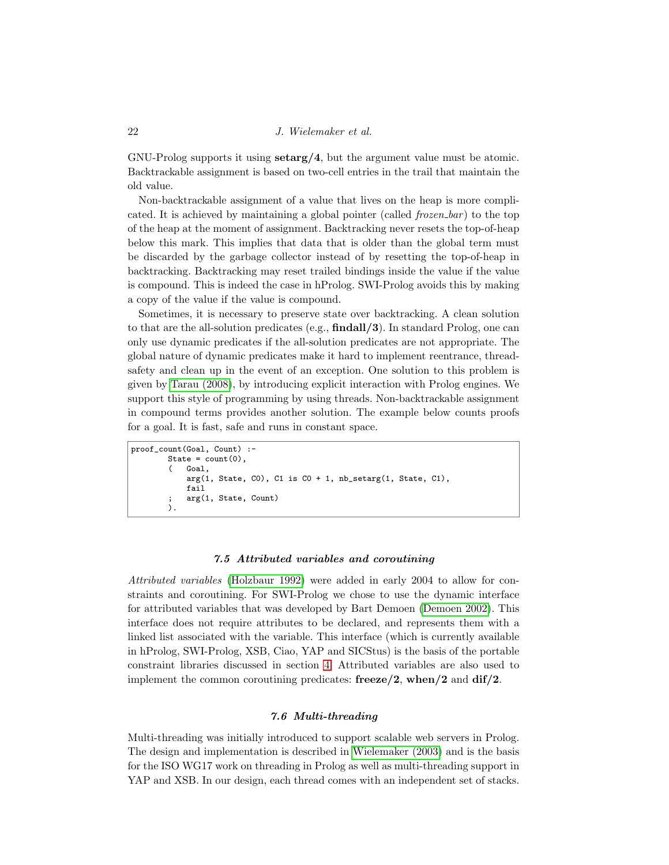GNU-Prolog supports it using  $setarg/4$ , but the argument value must be atomic. Backtrackable assignment is based on two-cell entries in the trail that maintain the old value.

Non-backtrackable assignment of a value that lives on the heap is more complicated. It is achieved by maintaining a global pointer (called  $frozen-bar$ ) to the top of the heap at the moment of assignment. Backtracking never resets the top-of-heap below this mark. This implies that data that is older than the global term must be discarded by the garbage collector instead of by resetting the top-of-heap in backtracking. Backtracking may reset trailed bindings inside the value if the value is compound. This is indeed the case in hProlog. SWI-Prolog avoids this by making a copy of the value if the value is compound.

Sometimes, it is necessary to preserve state over backtracking. A clean solution to that are the all-solution predicates (e.g., findall/3). In standard Prolog, one can only use dynamic predicates if the all-solution predicates are not appropriate. The global nature of dynamic predicates make it hard to implement reentrance, threadsafety and clean up in the event of an exception. One solution to this problem is given by [Tarau \(2008\)](#page-29-12), by introducing explicit interaction with Prolog engines. We support this style of programming by using threads. Non-backtrackable assignment in compound terms provides another solution. The example below counts proofs for a goal. It is fast, safe and runs in constant space.

```
proof_count(Goal, Count) :-
       State = count(0),
        ( Goal,
            arg(1, State, C0), C1 is C0 + 1, nb_setarg(1, State, C1),fail
            arg(1, State, Count)
       ).
```
### 7.5 Attributed variables and coroutining

<span id="page-21-0"></span>Attributed variables [\(Holzbaur 1992\)](#page-28-16) were added in early 2004 to allow for constraints and coroutining. For SWI-Prolog we chose to use the dynamic interface for attributed variables that was developed by Bart Demoen [\(Demoen 2002\)](#page-28-10). This interface does not require attributes to be declared, and represents them with a linked list associated with the variable. This interface (which is currently available in hProlog, SWI-Prolog, XSB, Ciao, YAP and SICStus) is the basis of the portable constraint libraries discussed in section [4.](#page-10-0) Attributed variables are also used to implement the common coroutining predicates:  ${\rm freeze}/2$ , when/2 and  ${\rm dif}/2$ .

# 7.6 Multi-threading

<span id="page-21-1"></span>Multi-threading was initially introduced to support scalable web servers in Prolog. The design and implementation is described in [Wielemaker \(2003\)](#page-29-13) and is the basis for the ISO WG17 work on threading in Prolog as well as multi-threading support in YAP and XSB. In our design, each thread comes with an independent set of stacks.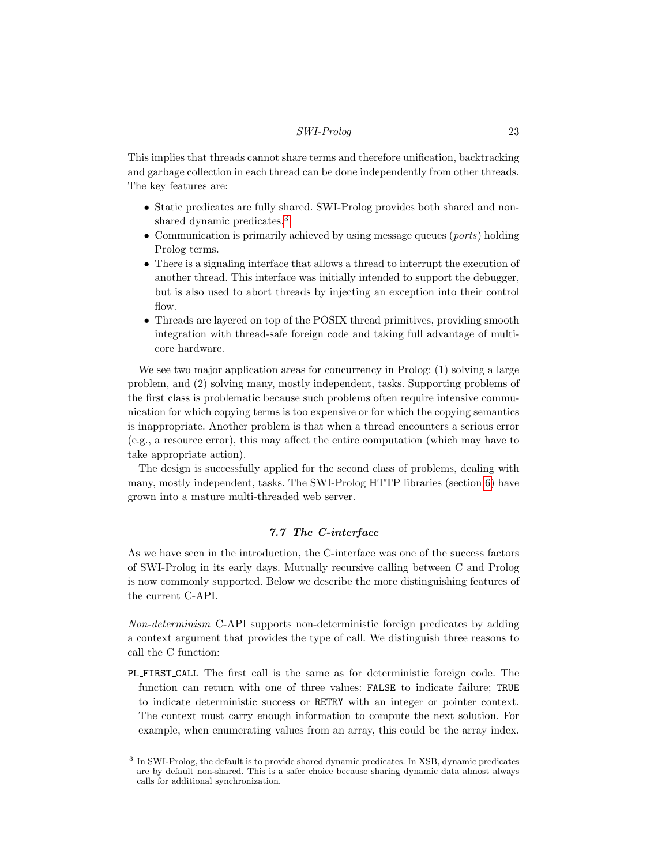This implies that threads cannot share terms and therefore unification, backtracking and garbage collection in each thread can be done independently from other threads. The key features are:

- Static predicates are fully shared. SWI-Prolog provides both shared and non-shared dynamic predicates.<sup>[3](#page-22-1)</sup>
- Communication is primarily achieved by using message queues (*ports*) holding Prolog terms.
- There is a signaling interface that allows a thread to interrupt the execution of another thread. This interface was initially intended to support the debugger, but is also used to abort threads by injecting an exception into their control flow.
- Threads are layered on top of the POSIX thread primitives, providing smooth integration with thread-safe foreign code and taking full advantage of multicore hardware.

We see two major application areas for concurrency in Prolog: (1) solving a large problem, and (2) solving many, mostly independent, tasks. Supporting problems of the first class is problematic because such problems often require intensive communication for which copying terms is too expensive or for which the copying semantics is inappropriate. Another problem is that when a thread encounters a serious error (e.g., a resource error), this may affect the entire computation (which may have to take appropriate action).

The design is successfully applied for the second class of problems, dealing with many, mostly independent, tasks. The SWI-Prolog HTTP libraries (section [6\)](#page-14-0) have grown into a mature multi-threaded web server.

# 7.7 The C-interface

<span id="page-22-0"></span>As we have seen in the introduction, the C-interface was one of the success factors of SWI-Prolog in its early days. Mutually recursive calling between C and Prolog is now commonly supported. Below we describe the more distinguishing features of the current C-API.

Non-determinism C-API supports non-deterministic foreign predicates by adding a context argument that provides the type of call. We distinguish three reasons to call the C function:

PL FIRST CALL The first call is the same as for deterministic foreign code. The function can return with one of three values: FALSE to indicate failure; TRUE to indicate deterministic success or RETRY with an integer or pointer context. The context must carry enough information to compute the next solution. For example, when enumerating values from an array, this could be the array index.

<span id="page-22-1"></span><sup>3</sup> In SWI-Prolog, the default is to provide shared dynamic predicates. In XSB, dynamic predicates are by default non-shared. This is a safer choice because sharing dynamic data almost always calls for additional synchronization.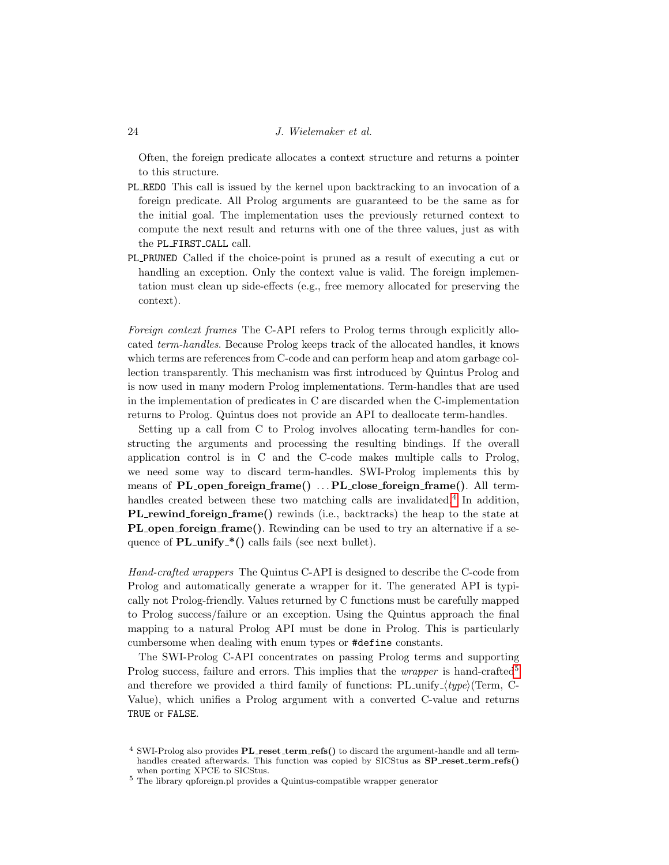Often, the foreign predicate allocates a context structure and returns a pointer to this structure.

- PL REDO This call is issued by the kernel upon backtracking to an invocation of a foreign predicate. All Prolog arguments are guaranteed to be the same as for the initial goal. The implementation uses the previously returned context to compute the next result and returns with one of the three values, just as with the PL FIRST CALL call.
- PL PRUNED Called if the choice-point is pruned as a result of executing a cut or handling an exception. Only the context value is valid. The foreign implementation must clean up side-effects (e.g., free memory allocated for preserving the context).

Foreign context frames The C-API refers to Prolog terms through explicitly allocated term-handles. Because Prolog keeps track of the allocated handles, it knows which terms are references from C-code and can perform heap and atom garbage collection transparently. This mechanism was first introduced by Quintus Prolog and is now used in many modern Prolog implementations. Term-handles that are used in the implementation of predicates in C are discarded when the C-implementation returns to Prolog. Quintus does not provide an API to deallocate term-handles.

Setting up a call from C to Prolog involves allocating term-handles for constructing the arguments and processing the resulting bindings. If the overall application control is in C and the C-code makes multiple calls to Prolog, we need some way to discard term-handles. SWI-Prolog implements this by means of PL\_open\_foreign\_frame() ... PL\_close\_foreign\_frame(). All term-handles created between these two matching calls are invalidated.<sup>[4](#page-23-0)</sup> In addition, PL rewind foreign frame() rewinds (i.e., backtracks) the heap to the state at PL open foreign frame(). Rewinding can be used to try an alternative if a sequence of  $PL\_unity$   $^{*}()$  calls fails (see next bullet).

Hand-crafted wrappers The Quintus C-API is designed to describe the C-code from Prolog and automatically generate a wrapper for it. The generated API is typically not Prolog-friendly. Values returned by C functions must be carefully mapped to Prolog success/failure or an exception. Using the Quintus approach the final mapping to a natural Prolog API must be done in Prolog. This is particularly cumbersome when dealing with enum types or #define constants.

The SWI-Prolog C-API concentrates on passing Prolog terms and supporting Prolog success, failure and errors. This implies that the *wrapper* is hand-crafted<sup>[5](#page-23-1)</sup> and therefore we provided a third family of functions:  $PL\_unify_{\ell}$  (Term, C-Value), which unifies a Prolog argument with a converted C-value and returns TRUE or FALSE.

<span id="page-23-0"></span><sup>&</sup>lt;sup>4</sup> SWI-Prolog also provides **PL** reset term refs() to discard the argument-handle and all termhandles created afterwards. This function was copied by SICStus as **SP\_reset\_term\_refs()** when porting XPCE to SICStus.

<span id="page-23-1"></span><sup>5</sup> The library qpforeign.pl provides a Quintus-compatible wrapper generator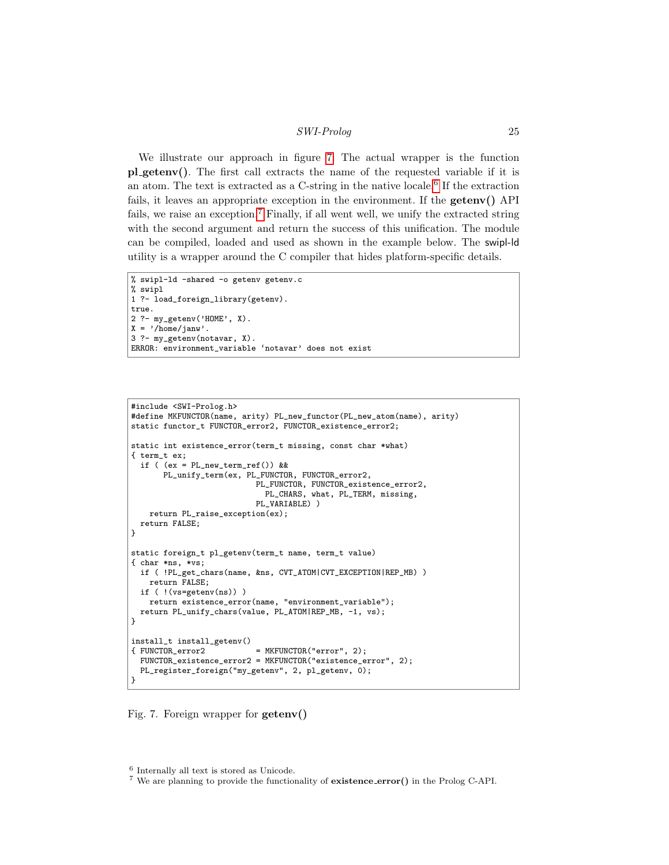We illustrate our approach in figure [7.](#page-24-0) The actual wrapper is the function  $p_{\text{e}}$  pl getenv(). The first call extracts the name of the requested variable if it is an atom. The text is extracted as a C-string in the native locale.<sup>[6](#page-24-1)</sup> If the extraction fails, it leaves an appropriate exception in the environment. If the getenv() API fails, we raise an exception.<sup>[7](#page-24-2)</sup> Finally, if all went well, we unify the extracted string with the second argument and return the success of this unification. The module can be compiled, loaded and used as shown in the example below. The swipl-ld utility is a wrapper around the C compiler that hides platform-specific details.

```
% swipl-ld -shared -o getenv getenv.c
% swipl
1 ?- load_foreign_library(getenv).
true.
2 ?- my_getenv('HOME', X).
X = \prime / \text{home/janw}.
3 ?- my_getenv(notavar, X).
ERROR: environment_variable 'notavar' does not exist
```

```
#include <SWI-Prolog.h>
#define MKFUNCTOR(name, arity) PL_new_functor(PL_new_atom(name), arity)
static functor_t FUNCTOR_error2, FUNCTOR_existence_error2;
static int existence_error(term_t missing, const char *what)
{ term_t ex;
 if ( (ex = PL_new_term_ref()) &&
       PL_unify_term(ex, PL_FUNCTOR, FUNCTOR_error2,
                           PL_FUNCTOR, FUNCTOR_existence_error2,
                             PL_CHARS, what, PL_TERM, missing,
                           PL_VARIABLE) )
    return PL_raise_exception(ex);
 return FALSE;
}
static foreign_t pl_getenv(term_t name, term_t value)
{ char *ns, *vs;
  if ( !PL_get_chars(name, &ns, CVT_ATOM|CVT_EXCEPTION|REP_MB) )
    return FALSE;
  if ( !(vs=getenv(ns)) )
    return existence_error(name, "environment_variable");
 return PL_unify_chars(value, PL_ATOM|REP_MB, -1, vs);
}
install_t install_getenv()
{[FWOTOR_error2]} = {MKFUNCTOR("error", 2)};FUNCTOR_existence_error2 = MKFUNCTOR("existence_error", 2);
 PL_register_foreign("my_getenv", 2, pl_getenv, 0);
}
```
<span id="page-24-0"></span>Fig. 7. Foreign wrapper for getenv()

<span id="page-24-1"></span><sup>6</sup> Internally all text is stored as Unicode.

<span id="page-24-2"></span><sup>&</sup>lt;sup>7</sup> We are planning to provide the functionality of existence error() in the Prolog C-API.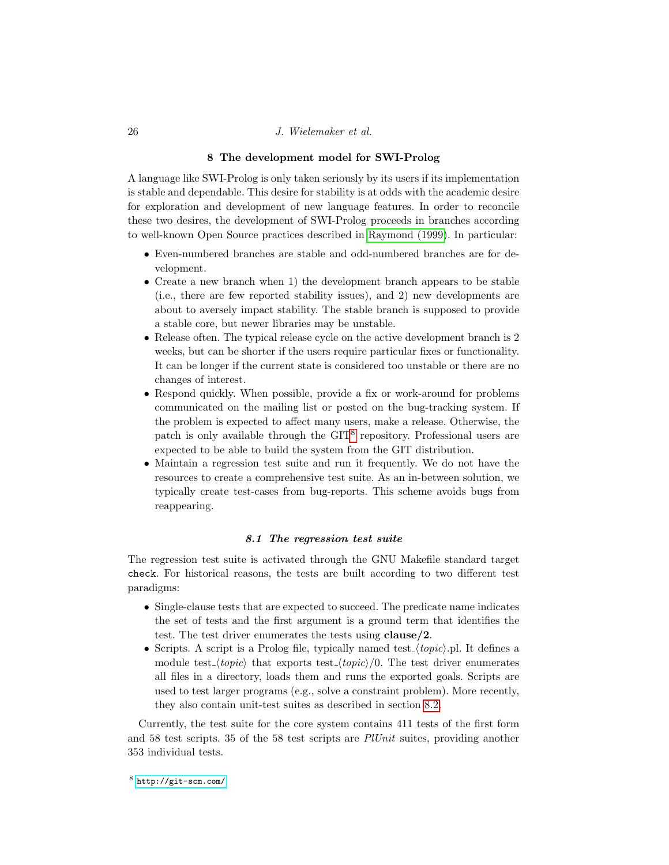#### 8 The development model for SWI-Prolog

A language like SWI-Prolog is only taken seriously by its users if its implementation is stable and dependable. This desire for stability is at odds with the academic desire for exploration and development of new language features. In order to reconcile these two desires, the development of SWI-Prolog proceeds in branches according to well-known Open Source practices described in [Raymond \(1999\)](#page-28-17). In particular:

- Even-numbered branches are stable and odd-numbered branches are for development.
- Create a new branch when 1) the development branch appears to be stable (i.e., there are few reported stability issues), and 2) new developments are about to aversely impact stability. The stable branch is supposed to provide a stable core, but newer libraries may be unstable.
- Release often. The typical release cycle on the active development branch is 2 weeks, but can be shorter if the users require particular fixes or functionality. It can be longer if the current state is considered too unstable or there are no changes of interest.
- Respond quickly. When possible, provide a fix or work-around for problems communicated on the mailing list or posted on the bug-tracking system. If the problem is expected to affect many users, make a release. Otherwise, the patch is only available through the GIT<sup>[8](#page-25-0)</sup> repository. Professional users are expected to be able to build the system from the GIT distribution.
- Maintain a regression test suite and run it frequently. We do not have the resources to create a comprehensive test suite. As an in-between solution, we typically create test-cases from bug-reports. This scheme avoids bugs from reappearing.

### 8.1 The regression test suite

The regression test suite is activated through the GNU Makefile standard target check. For historical reasons, the tests are built according to two different test paradigms:

- Single-clause tests that are expected to succeed. The predicate name indicates the set of tests and the first argument is a ground term that identifies the test. The test driver enumerates the tests using clause/2.
- Scripts. A script is a Prolog file, typically named test  $\langle topic \rangle$ .pl. It defines a module test  $\langle topic \rangle$  that exports test  $\langle topic \rangle/0$ . The test driver enumerates all files in a directory, loads them and runs the exported goals. Scripts are used to test larger programs (e.g., solve a constraint problem). More recently, they also contain unit-test suites as described in section [8.2.](#page-26-0)

Currently, the test suite for the core system contains 411 tests of the first form and 58 test scripts. 35 of the 58 test scripts are PlUnit suites, providing another 353 individual tests.

<span id="page-25-0"></span><sup>8</sup> <http://git-scm.com/>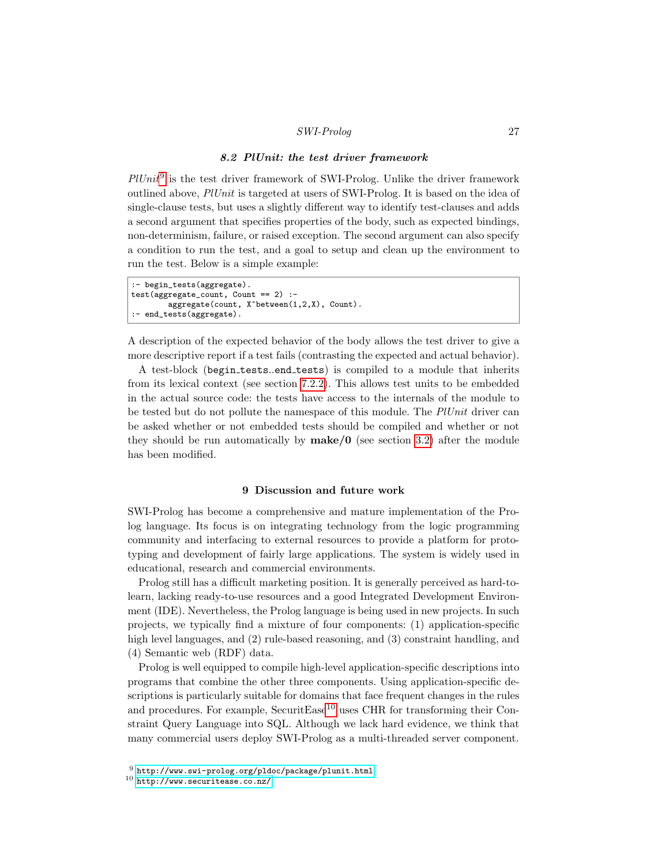#### 8.2 PlUnit: the test driver framework

<span id="page-26-0"></span> $PlUnit<sup>9</sup>$  $PlUnit<sup>9</sup>$  $PlUnit<sup>9</sup>$  is the test driver framework of SWI-Prolog. Unlike the driver framework outlined above, PlUnit is targeted at users of SWI-Prolog. It is based on the idea of single-clause tests, but uses a slightly different way to identify test-clauses and adds a second argument that specifies properties of the body, such as expected bindings, non-determinism, failure, or raised exception. The second argument can also specify a condition to run the test, and a goal to setup and clean up the environment to run the test. Below is a simple example:

```
:- begin_tests(aggregate).
test(aggregate_count, Count == 2) :-
        aggregate(count, X^between(1,2,X), Count).
:- end_tests(aggregate).
```
A description of the expected behavior of the body allows the test driver to give a more descriptive report if a test fails (contrasting the expected and actual behavior).

A test-block (begin tests..end tests) is compiled to a module that inherits from its lexical context (see section [7.2.2\)](#page-19-0). This allows test units to be embedded in the actual source code: the tests have access to the internals of the module to be tested but do not pollute the namespace of this module. The *PlUnit* driver can be asked whether or not embedded tests should be compiled and whether or not they should be run automatically by  $\mathbf{make}/0$  (see section [3.2\)](#page-5-0) after the module has been modified.

### 9 Discussion and future work

SWI-Prolog has become a comprehensive and mature implementation of the Prolog language. Its focus is on integrating technology from the logic programming community and interfacing to external resources to provide a platform for prototyping and development of fairly large applications. The system is widely used in educational, research and commercial environments.

Prolog still has a difficult marketing position. It is generally perceived as hard-tolearn, lacking ready-to-use resources and a good Integrated Development Environment (IDE). Nevertheless, the Prolog language is being used in new projects. In such projects, we typically find a mixture of four components: (1) application-specific high level languages, and (2) rule-based reasoning, and (3) constraint handling, and (4) Semantic web (RDF) data.

Prolog is well equipped to compile high-level application-specific descriptions into programs that combine the other three components. Using application-specific descriptions is particularly suitable for domains that face frequent changes in the rules and procedures. For example,  $SecuritEase<sup>10</sup>$  $SecuritEase<sup>10</sup>$  $SecuritEase<sup>10</sup>$  uses CHR for transforming their Constraint Query Language into SQL. Although we lack hard evidence, we think that many commercial users deploy SWI-Prolog as a multi-threaded server component.

<span id="page-26-1"></span><sup>9</sup> <http://www.swi-prolog.org/pldoc/package/plunit.html>

<span id="page-26-2"></span><sup>10</sup> <http://www.securitease.co.nz/>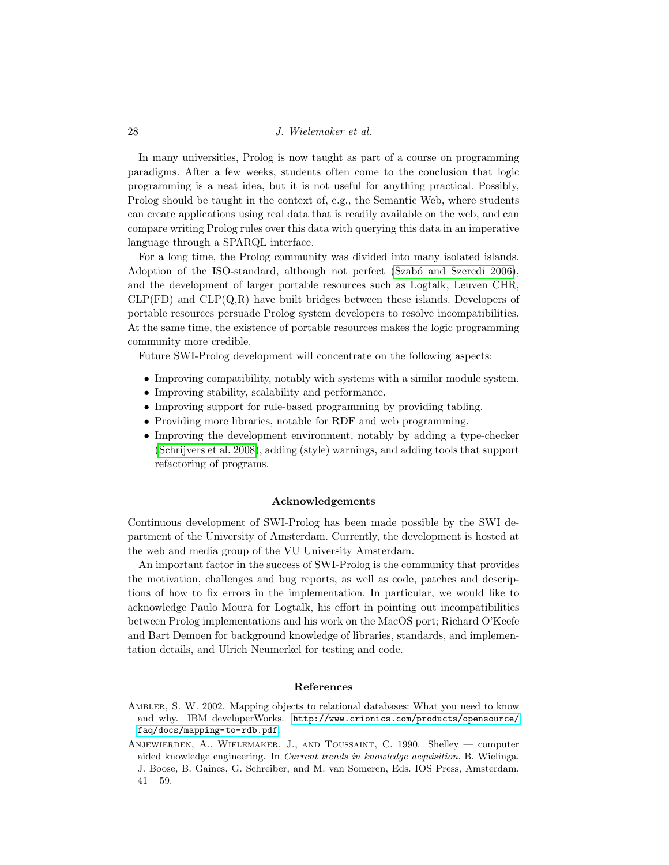In many universities, Prolog is now taught as part of a course on programming paradigms. After a few weeks, students often come to the conclusion that logic programming is a neat idea, but it is not useful for anything practical. Possibly, Prolog should be taught in the context of, e.g., the Semantic Web, where students can create applications using real data that is readily available on the web, and can compare writing Prolog rules over this data with querying this data in an imperative language through a SPARQL interface.

For a long time, the Prolog community was divided into many isolated islands. Adoption of the ISO-standard, although not perfect (Szabó and Szeredi 2006), and the development of larger portable resources such as Logtalk, Leuven CHR,  $CLP(FD)$  and  $CLP(Q,R)$  have built bridges between these islands. Developers of portable resources persuade Prolog system developers to resolve incompatibilities. At the same time, the existence of portable resources makes the logic programming community more credible.

Future SWI-Prolog development will concentrate on the following aspects:

- Improving compatibility, notably with systems with a similar module system.
- Improving stability, scalability and performance.
- Improving support for rule-based programming by providing tabling.
- Providing more libraries, notable for RDF and web programming.
- Improving the development environment, notably by adding a type-checker [\(Schrijvers et al. 2008\)](#page-29-15), adding (style) warnings, and adding tools that support refactoring of programs.

#### Acknowledgements

Continuous development of SWI-Prolog has been made possible by the SWI department of the University of Amsterdam. Currently, the development is hosted at the web and media group of the VU University Amsterdam.

An important factor in the success of SWI-Prolog is the community that provides the motivation, challenges and bug reports, as well as code, patches and descriptions of how to fix errors in the implementation. In particular, we would like to acknowledge Paulo Moura for Logtalk, his effort in pointing out incompatibilities between Prolog implementations and his work on the MacOS port; Richard O'Keefe and Bart Demoen for background knowledge of libraries, standards, and implementation details, and Ulrich Neumerkel for testing and code.

#### References

- <span id="page-27-1"></span>Ambler, S. W. 2002. Mapping objects to relational databases: What you need to know and why. IBM developerWorks. [http://www.crionics.com/products/opensource/](http://www.crionics.com/products/opensource/faq/docs/mapping-to-rdb.pdf) [faq/docs/mapping-to-rdb.pdf](http://www.crionics.com/products/opensource/faq/docs/mapping-to-rdb.pdf).
- <span id="page-27-0"></span>Anjewierden, A., Wielemaker, J., and Toussaint, C. 1990. Shelley — computer aided knowledge engineering. In Current trends in knowledge acquisition, B. Wielinga, J. Boose, B. Gaines, G. Schreiber, and M. van Someren, Eds. IOS Press, Amsterdam,  $41 - 59.$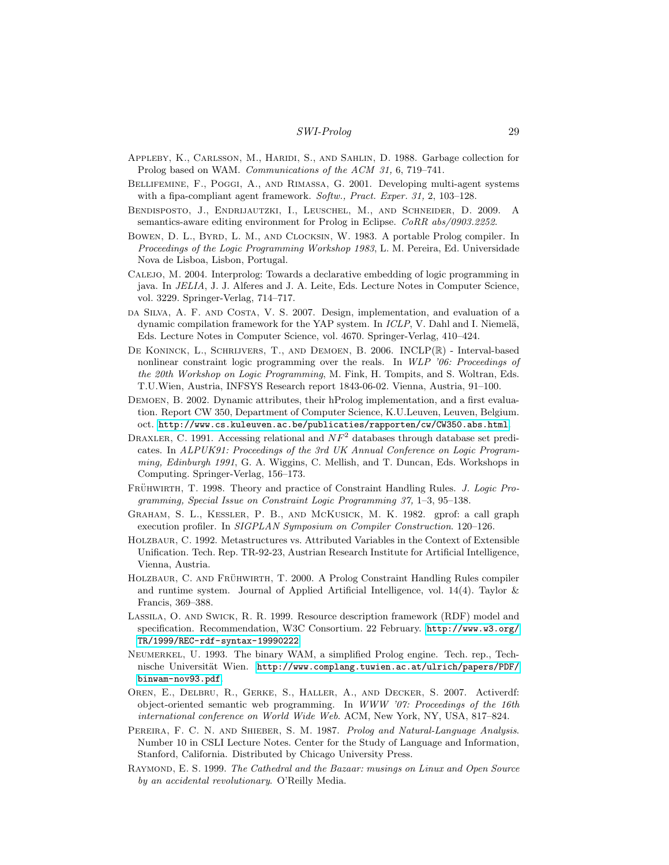- <span id="page-28-15"></span>Appleby, K., Carlsson, M., Haridi, S., and Sahlin, D. 1988. Garbage collection for Prolog based on WAM. Communications of the ACM 31, 6, 719–741.
- <span id="page-28-2"></span>Bellifemine, F., Poggi, A., and Rimassa, G. 2001. Developing multi-agent systems with a fipa-compliant agent framework. Softw., Pract. Exper. 31, 2, 103-128.
- <span id="page-28-5"></span>Bendisposto, J., Endrijautzki, I., Leuschel, M., and Schneider, D. 2009. A semantics-aware editing environment for Prolog in Eclipse. CoRR abs/0903.2252.
- <span id="page-28-0"></span>Bowen, D. L., Byrd, L. M., and Clocksin, W. 1983. A portable Prolog compiler. In Proceedings of the Logic Programming Workshop 1983, L. M. Pereira, Ed. Universidade Nova de Lisboa, Lisbon, Portugal.
- <span id="page-28-12"></span>CALEJO, M. 2004. Interprolog: Towards a declarative embedding of logic programming in java. In JELIA, J. J. Alferes and J. A. Leite, Eds. Lecture Notes in Computer Science, vol. 3229. Springer-Verlag, 714–717.
- <span id="page-28-9"></span>da Silva, A. F. and Costa, V. S. 2007. Design, implementation, and evaluation of a dynamic compilation framework for the YAP system. In ICLP, V. Dahl and I. Niemelä, Eds. Lecture Notes in Computer Science, vol. 4670. Springer-Verlag, 410–424.
- <span id="page-28-6"></span>De Koninck, L., Schrijvers, T., and Demoen, B. 2006. INCLP(R) - Interval-based nonlinear constraint logic programming over the reals. In WLP '06: Proceedings of the 20th Workshop on Logic Programming, M. Fink, H. Tompits, and S. Woltran, Eds. T.U.Wien, Austria, INFSYS Research report 1843-06-02. Vienna, Austria, 91–100.
- <span id="page-28-10"></span>DEMOEN, B. 2002. Dynamic attributes, their hProlog implementation, and a first evaluation. Report CW 350, Department of Computer Science, K.U.Leuven, Leuven, Belgium. oct. <http://www.cs.kuleuven.ac.be/publicaties/rapporten/cw/CW350.abs.html>.
- <span id="page-28-13"></span>DRAXLER, C. 1991. Accessing relational and  $NF^2$  databases through database set predicates. In ALPUK91: Proceedings of the 3rd UK Annual Conference on Logic Programming, Edinburgh 1991, G. A. Wiggins, C. Mellish, and T. Duncan, Eds. Workshops in Computing. Springer-Verlag, 156–173.
- <span id="page-28-7"></span>FRÜHWIRTH, T. 1998. Theory and practice of Constraint Handling Rules. J. Logic Programming, Special Issue on Constraint Logic Programming 37, 1–3, 95–138.
- <span id="page-28-4"></span>Graham, S. L., Kessler, P. B., and McKusick, M. K. 1982. gprof: a call graph execution profiler. In SIGPLAN Symposium on Compiler Construction. 120-126.
- <span id="page-28-16"></span>Holzbaur, C. 1992. Metastructures vs. Attributed Variables in the Context of Extensible Unification. Tech. Rep. TR-92-23, Austrian Research Institute for Artificial Intelligence, Vienna, Austria.
- <span id="page-28-8"></span>HOLZBAUR, C. AND FRÜHWIRTH, T. 2000. A Prolog Constraint Handling Rules compiler and runtime system. Journal of Applied Artificial Intelligence, vol. 14(4). Taylor & Francis, 369–388.
- <span id="page-28-1"></span>Lassila, O. and Swick, R. R. 1999. Resource description framework (RDF) model and specification. Recommendation, W3C Consortium. 22 February. [http://www.w3.org/](http://www.w3.org/TR/1999/REC-rdf-syntax-19990222) [TR/1999/REC-rdf-syntax-19990222](http://www.w3.org/TR/1999/REC-rdf-syntax-19990222).
- <span id="page-28-14"></span>Neumerkel, U. 1993. The binary WAM, a simplified Prolog engine. Tech. rep., Technische Universität Wien. [http://www.complang.tuwien.ac.at/ulrich/papers/PDF/](http://www.complang.tuwien.ac.at/ulrich/papers/PDF/binwam-nov93.pdf) [binwam-nov93.pdf](http://www.complang.tuwien.ac.at/ulrich/papers/PDF/binwam-nov93.pdf).
- <span id="page-28-11"></span>Oren, E., Delbru, R., Gerke, S., Haller, A., and Decker, S. 2007. Activerdf: object-oriented semantic web programming. In WWW '07: Proceedings of the 16th international conference on World Wide Web. ACM, New York, NY, USA, 817–824.
- <span id="page-28-3"></span>PEREIRA, F. C. N. AND SHIEBER, S. M. 1987. Prolog and Natural-Language Analysis. Number 10 in CSLI Lecture Notes. Center for the Study of Language and Information, Stanford, California. Distributed by Chicago University Press.
- <span id="page-28-17"></span>RAYMOND, E. S. 1999. The Cathedral and the Bazaar: musings on Linux and Open Source by an accidental revolutionary. O'Reilly Media.